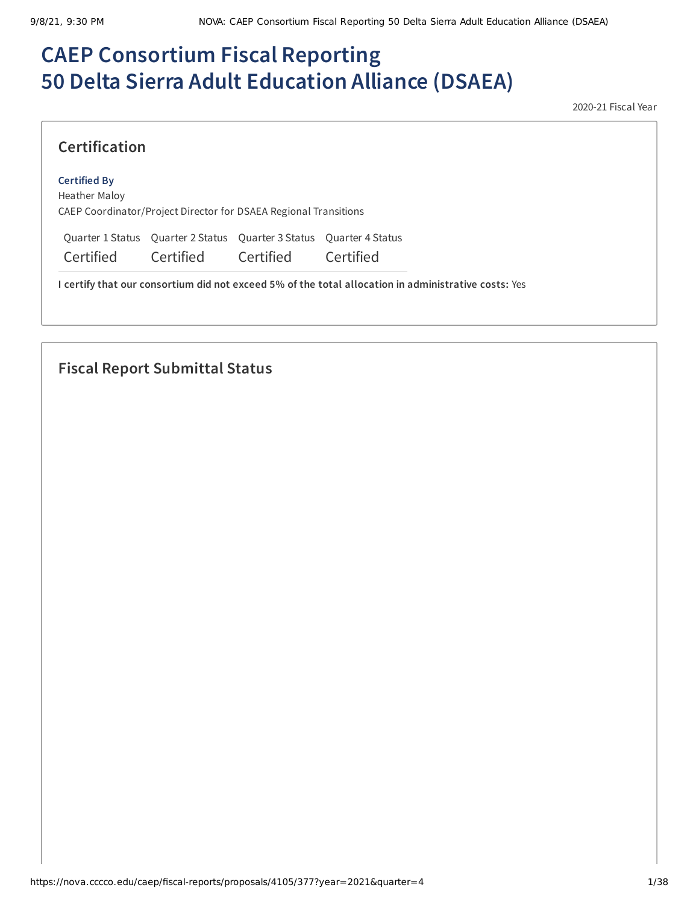# **CAEP Consortium Fiscal Reporting 50 Delta Sierra Adult Education Alliance (DSAEA)**

2020-21 Fiscal Year

## **Certification**

#### **Certified By**

Heather Maloy CAEP Coordinator/Project Director for DSAEA Regional Transitions

Quarter 1 Status Quarter 2 Status Quarter 3 Status Quarter 4 Status

Certified Certified Certified Certified

**I certify that our consortium did not exceed 5% of the total allocation in administrative costs:** Yes

## **Fiscal Report Submittal Status**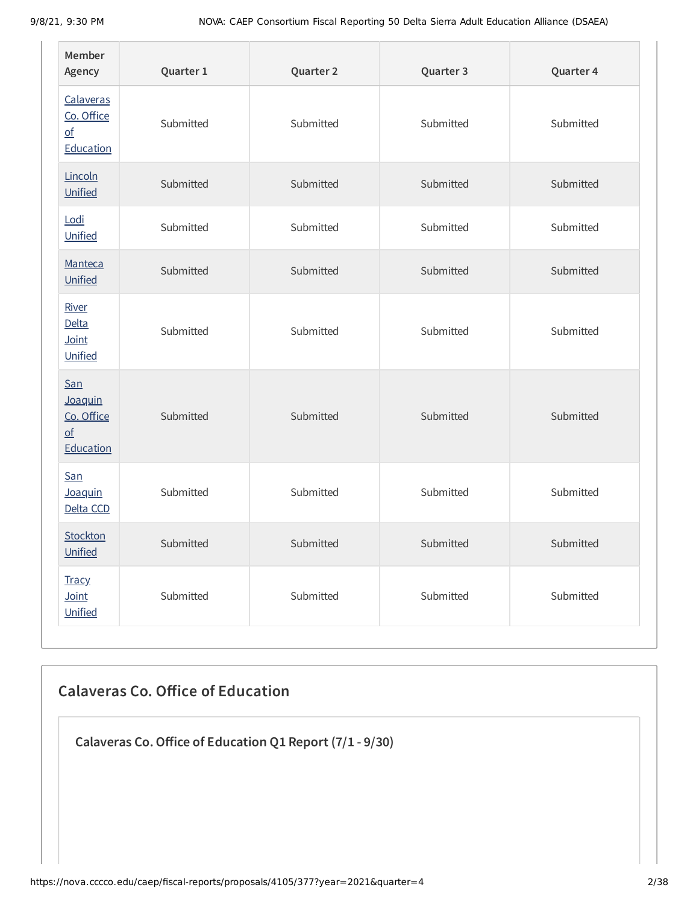| Member<br>Agency                                                       | Quarter 1 | Quarter 2 | Quarter 3 | Quarter 4 |
|------------------------------------------------------------------------|-----------|-----------|-----------|-----------|
| Calaveras<br>Co. Office<br>$\underline{\mathsf{of}}$<br>Education      | Submitted | Submitted | Submitted | Submitted |
| Lincoln<br>Unified                                                     | Submitted | Submitted | Submitted | Submitted |
| Lodi<br>Unified                                                        | Submitted | Submitted | Submitted | Submitted |
| Manteca<br>Unified                                                     | Submitted | Submitted | Submitted | Submitted |
| River<br>Delta<br>Joint<br>Unified                                     | Submitted | Submitted | Submitted | Submitted |
| San<br>Joaquin<br>Co. Office<br>$\underline{\mathsf{of}}$<br>Education | Submitted | Submitted | Submitted | Submitted |
| San<br>Joaquin<br>Delta CCD                                            | Submitted | Submitted | Submitted | Submitted |
| Stockton<br>Unified                                                    | Submitted | Submitted | Submitted | Submitted |
| <b>Tracy</b><br>Joint<br>Unified                                       | Submitted | Submitted | Submitted | Submitted |

## **Calaveras Co. Office of Education**

**Calaveras Co.Office of Education Q1 Report (7/1 - 9/30)**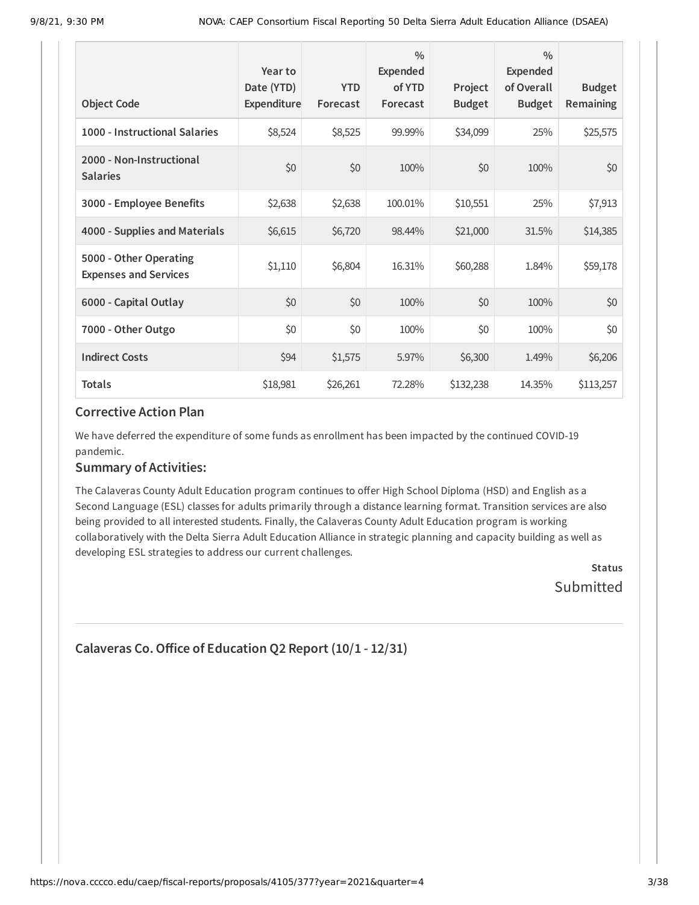| <b>Object Code</b>                                     | Year to<br>Date (YTD)<br>Expenditure | <b>YTD</b><br>Forecast | $\frac{0}{0}$<br>Expended<br>of YTD<br>Forecast | Project<br><b>Budget</b> | $\frac{0}{0}$<br>Expended<br>of Overall<br><b>Budget</b> | <b>Budget</b><br><b>Remaining</b> |
|--------------------------------------------------------|--------------------------------------|------------------------|-------------------------------------------------|--------------------------|----------------------------------------------------------|-----------------------------------|
| 1000 - Instructional Salaries                          | \$8,524                              | \$8,525                | 99.99%                                          | \$34,099                 | 25%                                                      | \$25,575                          |
| 2000 - Non-Instructional<br><b>Salaries</b>            | \$0                                  | \$0                    | 100%                                            | \$0                      | 100%                                                     | \$0                               |
| 3000 - Employee Benefits                               | \$2,638                              | \$2,638                | 100.01%                                         | \$10,551                 | 25%                                                      | \$7,913                           |
| 4000 - Supplies and Materials                          | \$6,615                              | \$6,720                | 98.44%                                          | \$21,000                 | 31.5%                                                    | \$14,385                          |
| 5000 - Other Operating<br><b>Expenses and Services</b> | \$1,110                              | \$6,804                | 16.31%                                          | \$60,288                 | 1.84%                                                    | \$59,178                          |
| 6000 - Capital Outlay                                  | \$0                                  | \$0                    | 100%                                            | \$0                      | 100%                                                     | \$0                               |
| 7000 - Other Outgo                                     | \$0                                  | \$0                    | 100%                                            | \$0                      | 100%                                                     | \$0\$                             |
| <b>Indirect Costs</b>                                  | \$94                                 | \$1,575                | 5.97%                                           | \$6,300                  | 1.49%                                                    | \$6,206                           |
| <b>Totals</b>                                          | \$18,981                             | \$26,261               | 72.28%                                          | \$132,238                | 14.35%                                                   | \$113,257                         |

We have deferred the expenditure of some funds as enrollment has been impacted by the continued COVID-19 pandemic.

#### **Summary of Activities:**

The Calaveras County Adult Education program continues to offer High School Diploma (HSD) and English as a Second Language (ESL) classes for adults primarily through a distance learning format. Transition services are also being provided to all interested students. Finally, the Calaveras County Adult Education program is working collaboratively with the Delta Sierra Adult Education Alliance in strategic planning and capacity building as well as developing ESL strategies to address our current challenges.

> **Status** Submitted

```
Calaveras Co.Office of Education Q2 Report (10/1 - 12/31)
```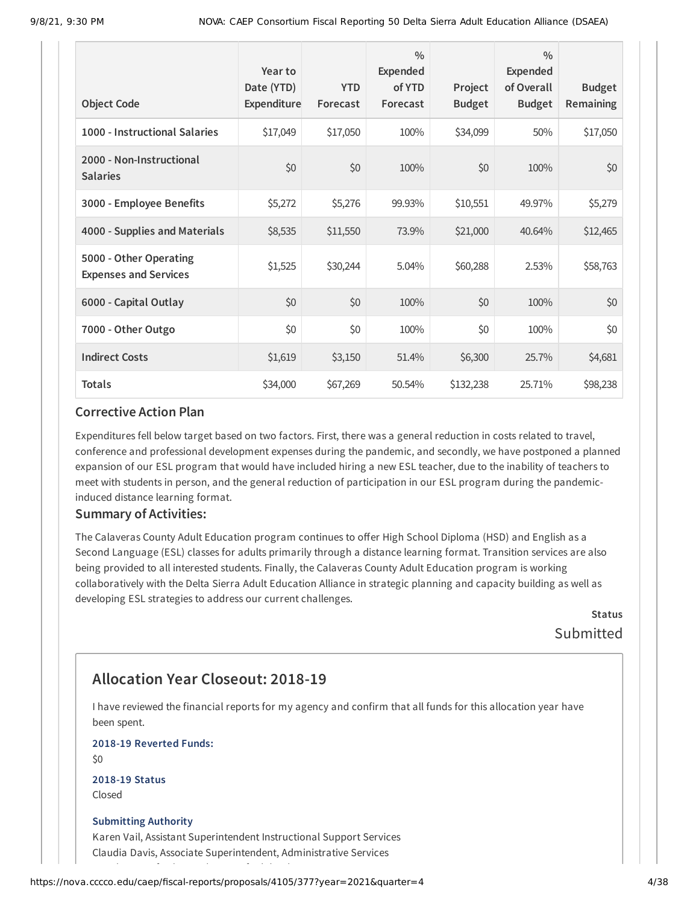| <b>Object Code</b>                                     | Year to<br>Date (YTD)<br>Expenditure | <b>YTD</b><br>Forecast | $\frac{0}{0}$<br>Expended<br>of YTD<br>Forecast | Project<br><b>Budget</b> | $\frac{0}{0}$<br><b>Expended</b><br>of Overall<br><b>Budget</b> | <b>Budget</b><br><b>Remaining</b> |
|--------------------------------------------------------|--------------------------------------|------------------------|-------------------------------------------------|--------------------------|-----------------------------------------------------------------|-----------------------------------|
| 1000 - Instructional Salaries                          | \$17,049                             | \$17,050               | 100%                                            | \$34,099                 | 50%                                                             | \$17,050                          |
| 2000 - Non-Instructional<br><b>Salaries</b>            | \$0                                  | \$0                    | 100%                                            | \$0                      | 100%                                                            | \$0                               |
| 3000 - Employee Benefits                               | \$5,272                              | \$5,276                | 99.93%                                          | \$10,551                 | 49.97%                                                          | \$5,279                           |
| 4000 - Supplies and Materials                          | \$8,535                              | \$11,550               | 73.9%                                           | \$21,000                 | 40.64%                                                          | \$12,465                          |
| 5000 - Other Operating<br><b>Expenses and Services</b> | \$1,525                              | \$30,244               | 5.04%                                           | \$60,288                 | 2.53%                                                           | \$58,763                          |
| 6000 - Capital Outlay                                  | \$0                                  | \$0                    | 100%                                            | \$0                      | 100%                                                            | \$0                               |
| 7000 - Other Outgo                                     | \$0                                  | \$0                    | 100%                                            | \$0                      | 100%                                                            | \$0                               |
| <b>Indirect Costs</b>                                  | \$1,619                              | \$3,150                | 51.4%                                           | \$6,300                  | 25.7%                                                           | \$4,681                           |
| <b>Totals</b>                                          | \$34,000                             | \$67,269               | 50.54%                                          | \$132,238                | 25.71%                                                          | \$98,238                          |

Expenditures fell below target based on two factors. First, there was a general reduction in costs related to travel, conference and professional development expenses during the pandemic, and secondly, we have postponed a planned expansion of our ESL program that would have included hiring a new ESL teacher, due to the inability of teachers to meet with students in person, and the general reduction of participation in our ESL program during the pandemicinduced distance learning format.

#### **Summary of Activities:**

The Calaveras County Adult Education program continues to offer High School Diploma (HSD) and English as a Second Language (ESL) classes for adults primarily through a distance learning format. Transition services are also being provided to all interested students. Finally, the Calaveras County Adult Education program is working collaboratively with the Delta Sierra Adult Education Alliance in strategic planning and capacity building as well as developing ESL strategies to address our current challenges.

> **Status** Submitted

## **Allocation Year Closeout: 2018-19**

I have reviewed the financial reports for my agency and confirm that all funds for this allocation year have been spent.

**2018-19 Reverted Funds:**

 $$0$$ 

**2018-19 Status** Closed

#### **Submitting Authority**

Karen Vail, Assistant Superintendent Instructional Support Services Claudia Davis, Associate Superintendent, Administrative Services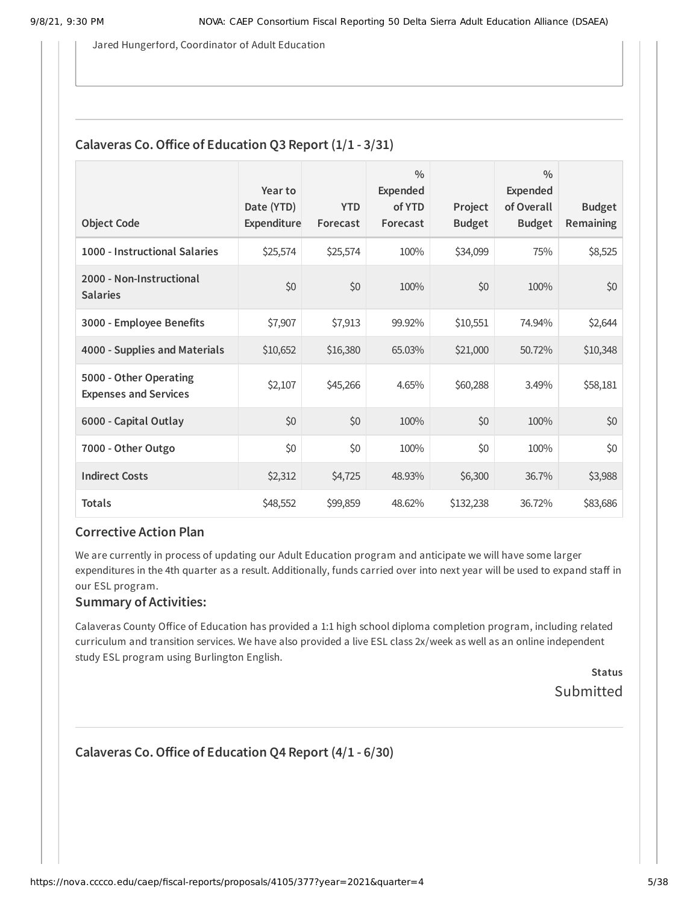Jared Hungerford, Coordinator of Adult Education

### **Calaveras Co.Office of Education Q3 Report (1/1 - 3/31)**

| <b>Object Code</b>                                     | Year to<br>Date (YTD)<br>Expenditure | <b>YTD</b><br>Forecast | $\frac{0}{0}$<br><b>Expended</b><br>of YTD<br>Forecast | Project<br><b>Budget</b> | $\frac{0}{0}$<br><b>Expended</b><br>of Overall<br><b>Budget</b> | <b>Budget</b><br>Remaining |
|--------------------------------------------------------|--------------------------------------|------------------------|--------------------------------------------------------|--------------------------|-----------------------------------------------------------------|----------------------------|
| 1000 - Instructional Salaries                          | \$25,574                             | \$25,574               | 100%                                                   | \$34,099                 | 75%                                                             | \$8,525                    |
| 2000 - Non-Instructional<br><b>Salaries</b>            | \$0                                  | \$0                    | 100%                                                   | \$0                      | 100%                                                            | \$0                        |
| 3000 - Employee Benefits                               | \$7,907                              | \$7,913                | 99.92%                                                 | \$10,551                 | 74.94%                                                          | \$2,644                    |
| 4000 - Supplies and Materials                          | \$10,652                             | \$16,380               | 65.03%                                                 | \$21,000                 | 50.72%                                                          | \$10,348                   |
| 5000 - Other Operating<br><b>Expenses and Services</b> | \$2,107                              | \$45,266               | 4.65%                                                  | \$60,288                 | 3.49%                                                           | \$58,181                   |
| 6000 - Capital Outlay                                  | \$0                                  | \$0                    | 100%                                                   | \$0                      | 100%                                                            | \$0                        |
| 7000 - Other Outgo                                     | \$0                                  | \$0                    | 100%                                                   | \$0                      | 100%                                                            | \$0                        |
| <b>Indirect Costs</b>                                  | \$2,312                              | \$4,725                | 48.93%                                                 | \$6,300                  | 36.7%                                                           | \$3,988                    |
| <b>Totals</b>                                          | \$48,552                             | \$99,859               | 48.62%                                                 | \$132,238                | 36.72%                                                          | \$83,686                   |

#### **Corrective Action Plan**

We are currently in process of updating our Adult Education program and anticipate we will have some larger expenditures in the 4th quarter as a result. Additionally, funds carried over into next year will be used to expand staff in our ESL program.

#### **Summary of Activities:**

Calaveras County Office of Education has provided a 1:1 high school diploma completion program, including related curriculum and transition services. We have also provided a live ESL class 2x/week as well as an online independent study ESL program using Burlington English.

> **Status** Submitted

### **Calaveras Co.Office of Education Q4 Report (4/1 - 6/30)**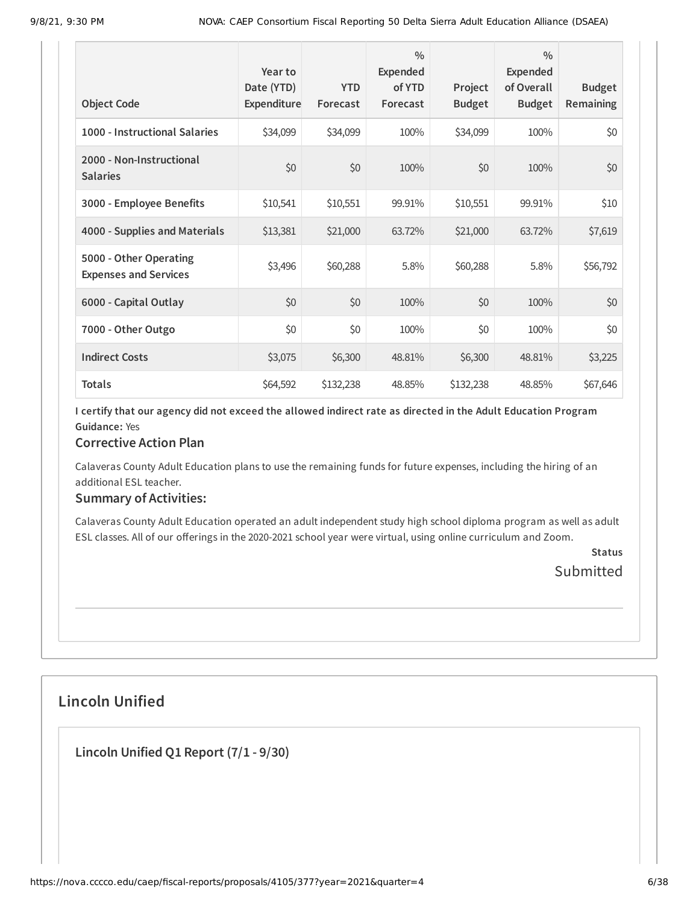| <b>Object Code</b>                                     | Year to<br>Date (YTD)<br>Expenditure | <b>YTD</b><br>Forecast | $\frac{0}{0}$<br>Expended<br>of YTD<br>Forecast | Project<br><b>Budget</b> | $\frac{0}{0}$<br>Expended<br>of Overall<br><b>Budget</b> | <b>Budget</b><br><b>Remaining</b> |
|--------------------------------------------------------|--------------------------------------|------------------------|-------------------------------------------------|--------------------------|----------------------------------------------------------|-----------------------------------|
| 1000 - Instructional Salaries                          | \$34,099                             | \$34,099               | 100%                                            | \$34,099                 | 100%                                                     | \$0                               |
| 2000 - Non-Instructional<br><b>Salaries</b>            | \$0                                  | \$0                    | 100%                                            | \$0                      | 100%                                                     | \$0                               |
| 3000 - Employee Benefits                               | \$10,541                             | \$10,551               | 99.91%                                          | \$10,551                 | 99.91%                                                   | \$10                              |
| 4000 - Supplies and Materials                          | \$13,381                             | \$21,000               | 63.72%                                          | \$21,000                 | 63.72%                                                   | \$7,619                           |
| 5000 - Other Operating<br><b>Expenses and Services</b> | \$3,496                              | \$60,288               | 5.8%                                            | \$60,288                 | 5.8%                                                     | \$56,792                          |
| 6000 - Capital Outlay                                  | \$0                                  | \$0                    | 100%                                            | \$0                      | 100%                                                     | \$0                               |
| 7000 - Other Outgo                                     | \$0                                  | \$0                    | 100%                                            | \$0                      | 100%                                                     | \$0                               |
| <b>Indirect Costs</b>                                  | \$3,075                              | \$6,300                | 48.81%                                          | \$6,300                  | 48.81%                                                   | \$3,225                           |
| <b>Totals</b>                                          | \$64,592                             | \$132,238              | 48.85%                                          | \$132,238                | 48.85%                                                   | \$67,646                          |

#### **Corrective Action Plan**

Calaveras County Adult Education plans to use the remaining funds for future expenses, including the hiring of an additional ESL teacher.

#### **Summary of Activities:**

Calaveras County Adult Education operated an adult independent study high school diploma program as well as adult ESL classes. All of our offerings in the 2020-2021 school year were virtual, using online curriculum and Zoom.

> **Status** Submitted

## **Lincoln Unified**

**Lincoln Unified Q1 Report (7/1 - 9/30)**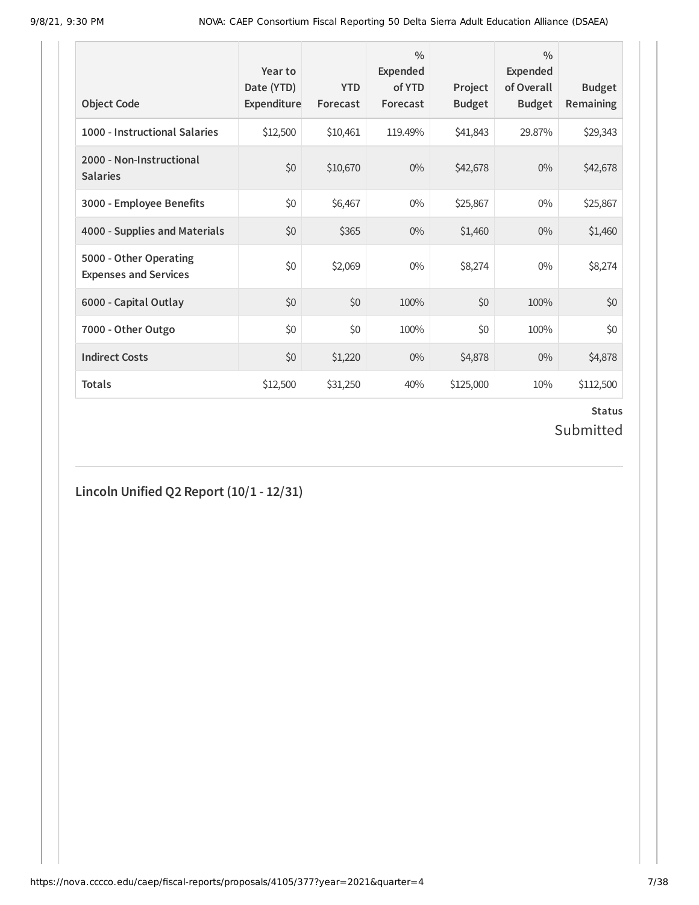| <b>Object Code</b>                                     | Year to<br>Date (YTD)<br>Expenditure | <b>YTD</b><br>Forecast | $\frac{0}{0}$<br>Expended<br>of YTD<br>Forecast | Project<br><b>Budget</b> | $\frac{0}{0}$<br><b>Expended</b><br>of Overall<br><b>Budget</b> | <b>Budget</b><br><b>Remaining</b> |
|--------------------------------------------------------|--------------------------------------|------------------------|-------------------------------------------------|--------------------------|-----------------------------------------------------------------|-----------------------------------|
| 1000 - Instructional Salaries                          | \$12,500                             | \$10,461               | 119.49%                                         | \$41,843                 | 29.87%                                                          | \$29,343                          |
| 2000 - Non-Instructional<br><b>Salaries</b>            | \$0                                  | \$10,670               | $0\%$                                           | \$42,678                 | $0\%$                                                           | \$42,678                          |
| 3000 - Employee Benefits                               | \$0                                  | \$6,467                | $0\%$                                           | \$25,867                 | $0\%$                                                           | \$25,867                          |
| 4000 - Supplies and Materials                          | \$0                                  | \$365                  | $0\%$                                           | \$1,460                  | $0\%$                                                           | \$1,460                           |
| 5000 - Other Operating<br><b>Expenses and Services</b> | \$0                                  | \$2,069                | $0\%$                                           | \$8,274                  | $0\%$                                                           | \$8,274                           |
| 6000 - Capital Outlay                                  | \$0                                  | \$0                    | 100%                                            | \$0                      | 100%                                                            | \$0                               |
| 7000 - Other Outgo                                     | \$0                                  | \$0                    | 100%                                            | \$0                      | 100%                                                            | \$0                               |
| <b>Indirect Costs</b>                                  | \$0                                  | \$1,220                | $0\%$                                           | \$4,878                  | $0\%$                                                           | \$4,878                           |
| <b>Totals</b>                                          | \$12,500                             | \$31,250               | 40%                                             | \$125,000                | 10%                                                             | \$112,500                         |

## **Status** Submitted

**Lincoln Unified Q2 Report (10/1 - 12/31)**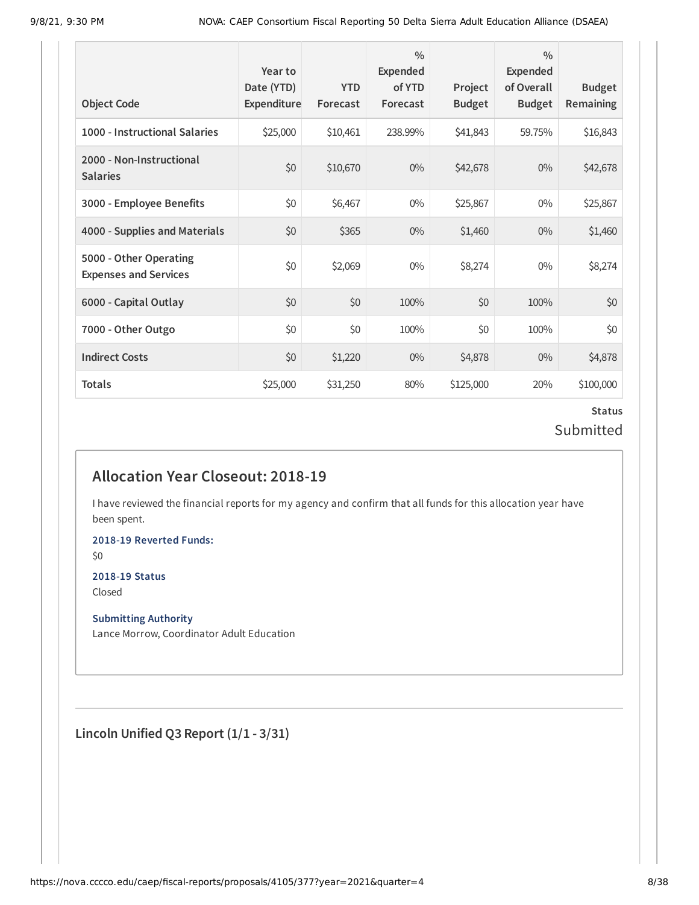| <b>Object Code</b>                                     | Year to<br>Date (YTD)<br>Expenditure | <b>YTD</b><br>Forecast | $\frac{0}{0}$<br>Expended<br>of YTD<br>Forecast | Project<br><b>Budget</b> | $\frac{0}{0}$<br><b>Expended</b><br>of Overall<br><b>Budget</b> | <b>Budget</b><br><b>Remaining</b> |
|--------------------------------------------------------|--------------------------------------|------------------------|-------------------------------------------------|--------------------------|-----------------------------------------------------------------|-----------------------------------|
| 1000 - Instructional Salaries                          | \$25,000                             | \$10,461               | 238.99%                                         | \$41,843                 | 59.75%                                                          | \$16,843                          |
| 2000 - Non-Instructional<br><b>Salaries</b>            | \$0                                  | \$10,670               | $0\%$                                           | \$42,678                 | $0\%$                                                           | \$42,678                          |
| 3000 - Employee Benefits                               | \$0                                  | \$6,467                | $0\%$                                           | \$25,867                 | $0\%$                                                           | \$25,867                          |
| 4000 - Supplies and Materials                          | \$0                                  | \$365                  | $0\%$                                           | \$1,460                  | $0\%$                                                           | \$1,460                           |
| 5000 - Other Operating<br><b>Expenses and Services</b> | \$0                                  | \$2,069                | $0\%$                                           | \$8,274                  | $0\%$                                                           | \$8,274                           |
| 6000 - Capital Outlay                                  | \$0                                  | \$0                    | 100%                                            | \$0                      | 100%                                                            | \$0                               |
| 7000 - Other Outgo                                     | \$0                                  | \$0                    | 100%                                            | \$0                      | 100%                                                            | \$0                               |
| <b>Indirect Costs</b>                                  | \$0                                  | \$1,220                | $0\%$                                           | \$4,878                  | $0\%$                                                           | \$4,878                           |
| <b>Totals</b>                                          | \$25,000                             | \$31,250               | 80%                                             | \$125,000                | 20%                                                             | \$100,000                         |

### **Status** Submitted

## **Allocation Year Closeout: 2018-19**

I have reviewed the financial reports for my agency and confirm that all funds for this allocation year have been spent.

**2018-19 Reverted Funds:**

\$0

## **2018-19 Status**

Closed

#### **Submitting Authority**

Lance Morrow, Coordinator Adult Education

**Lincoln Unified Q3 Report (1/1 - 3/31)**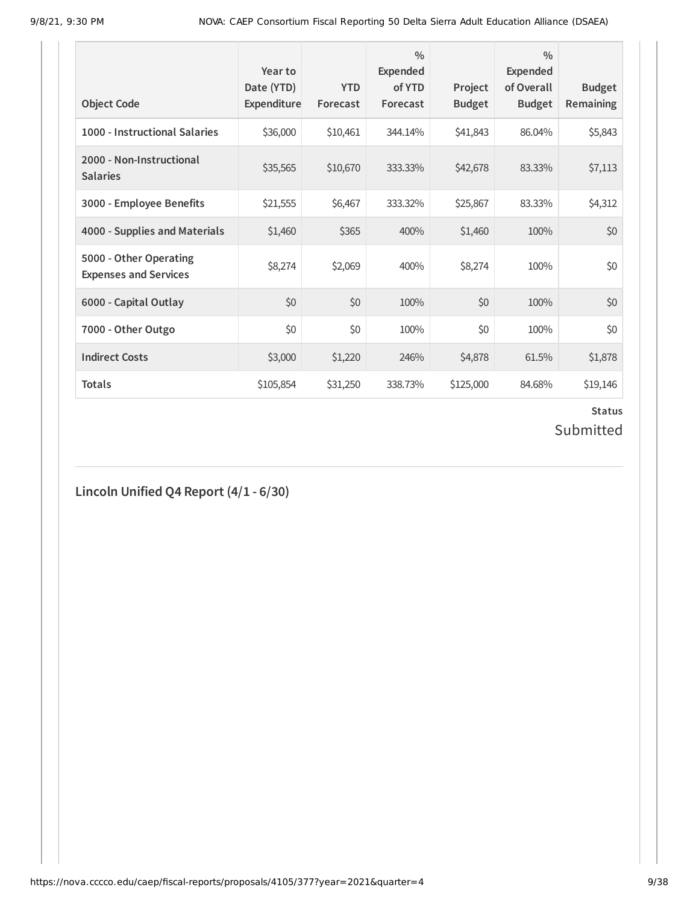| <b>Object Code</b>                                     | Year to<br>Date (YTD)<br><b>Expenditure</b> | <b>YTD</b><br>Forecast | $\frac{0}{0}$<br>Expended<br>of YTD<br>Forecast | Project<br><b>Budget</b> | $\frac{0}{0}$<br>Expended<br>of Overall<br><b>Budget</b> | <b>Budget</b><br><b>Remaining</b> |
|--------------------------------------------------------|---------------------------------------------|------------------------|-------------------------------------------------|--------------------------|----------------------------------------------------------|-----------------------------------|
| 1000 - Instructional Salaries                          | \$36,000                                    | \$10,461               | 344.14%                                         | \$41,843                 | 86.04%                                                   | \$5,843                           |
| 2000 - Non-Instructional<br><b>Salaries</b>            | \$35,565                                    | \$10,670               | 333.33%                                         | \$42,678                 | 83.33%                                                   | \$7,113                           |
| 3000 - Employee Benefits                               | \$21,555                                    | \$6,467                | 333.32%                                         | \$25,867                 | 83.33%                                                   | \$4,312                           |
| 4000 - Supplies and Materials                          | \$1,460                                     | \$365                  | 400%                                            | \$1,460                  | 100%                                                     | \$0                               |
| 5000 - Other Operating<br><b>Expenses and Services</b> | \$8,274                                     | \$2,069                | 400%                                            | \$8,274                  | 100%                                                     | \$0                               |
| 6000 - Capital Outlay                                  | \$0                                         | \$0                    | 100%                                            | \$0                      | 100%                                                     | \$0                               |
| 7000 - Other Outgo                                     | \$0                                         | \$0                    | 100%                                            | \$0                      | 100%                                                     | \$0                               |
| <b>Indirect Costs</b>                                  | \$3,000                                     | \$1,220                | 246%                                            | \$4,878                  | 61.5%                                                    | \$1,878                           |
| <b>Totals</b>                                          | \$105,854                                   | \$31,250               | 338.73%                                         | \$125,000                | 84.68%                                                   | \$19,146                          |

# **Status**

## Submitted

**Lincoln Unified Q4 Report (4/1 - 6/30)**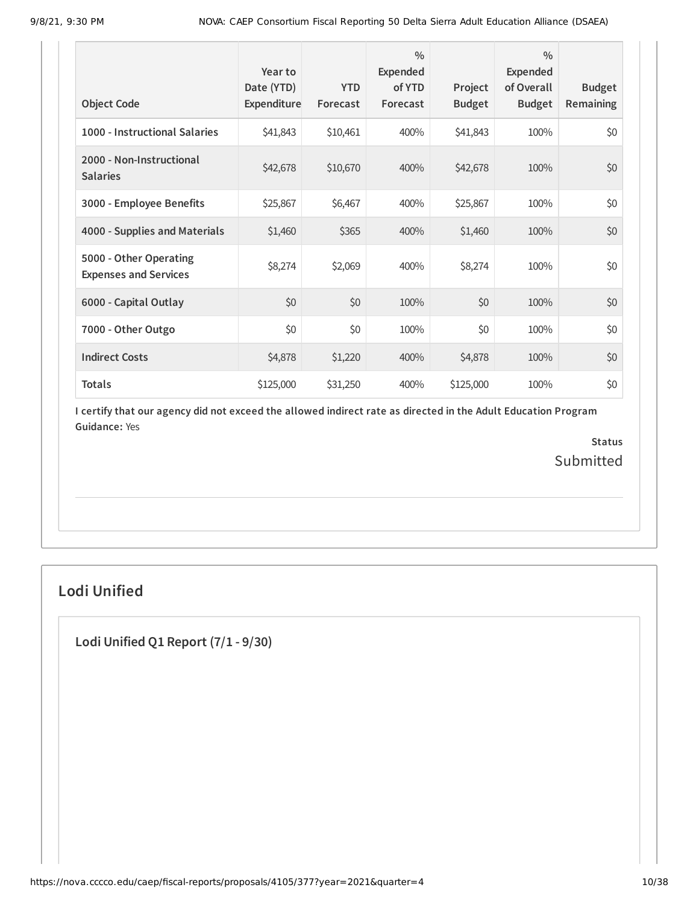| <b>Object Code</b>                                     | Year to<br>Date (YTD)<br>Expenditure | <b>YTD</b><br>Forecast | $\frac{0}{0}$<br>Expended<br>of YTD<br>Forecast | Project<br><b>Budget</b> | $\frac{0}{0}$<br>Expended<br>of Overall<br><b>Budget</b> | <b>Budget</b><br><b>Remaining</b> |
|--------------------------------------------------------|--------------------------------------|------------------------|-------------------------------------------------|--------------------------|----------------------------------------------------------|-----------------------------------|
| 1000 - Instructional Salaries                          | \$41,843                             | \$10,461               | 400%                                            | \$41,843                 | 100%                                                     | \$0                               |
| 2000 - Non-Instructional<br><b>Salaries</b>            | \$42,678                             | \$10,670               | 400%                                            | \$42,678                 | 100%                                                     | \$0                               |
| 3000 - Employee Benefits                               | \$25,867                             | \$6,467                | 400%                                            | \$25,867                 | 100%                                                     | \$0                               |
| 4000 - Supplies and Materials                          | \$1,460                              | \$365                  | 400%                                            | \$1,460                  | 100%                                                     | \$0                               |
| 5000 - Other Operating<br><b>Expenses and Services</b> | \$8,274                              | \$2,069                | 400%                                            | \$8,274                  | 100%                                                     | \$0                               |
| 6000 - Capital Outlay                                  | \$0                                  | \$0                    | 100%                                            | \$0                      | 100%                                                     | \$0                               |
| 7000 - Other Outgo                                     | \$0                                  | \$0                    | 100%                                            | \$0                      | 100%                                                     | \$0                               |
| <b>Indirect Costs</b>                                  | \$4,878                              | \$1,220                | 400%                                            | \$4,878                  | 100%                                                     | \$0                               |
| <b>Totals</b>                                          | \$125,000                            | \$31,250               | 400%                                            | \$125,000                | 100%                                                     | \$0                               |

> **Status** Submitted

## **Lodi Unified**

**Lodi Unified Q1 Report (7/1 - 9/30)**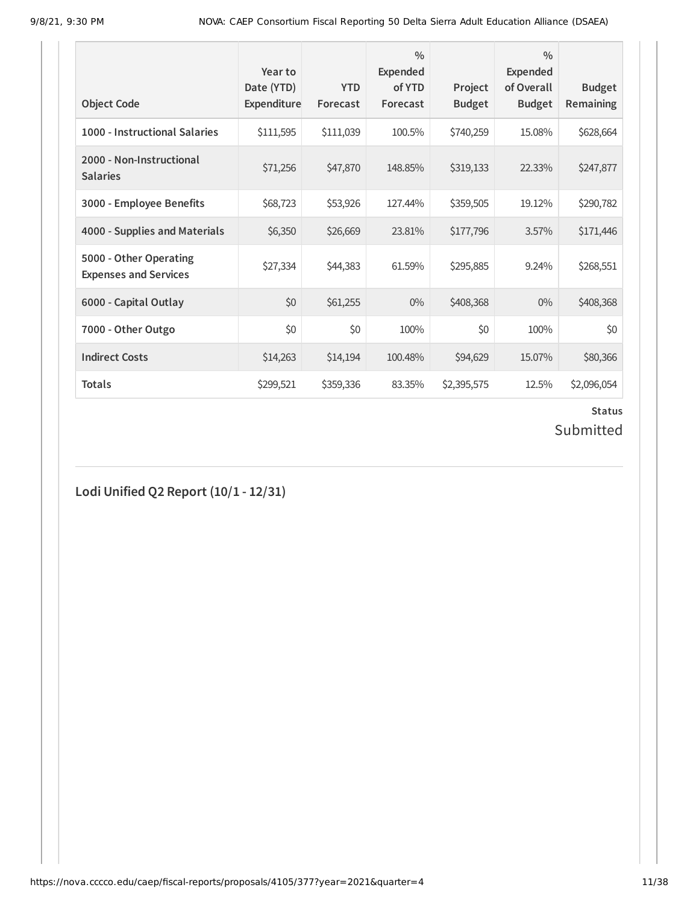| <b>Object Code</b>                                     | Year to<br>Date (YTD)<br>Expenditure | <b>YTD</b><br>Forecast | $\frac{0}{0}$<br>Expended<br>of YTD<br>Forecast | Project<br><b>Budget</b> | $\frac{0}{0}$<br>Expended<br>of Overall<br><b>Budget</b> | <b>Budget</b><br><b>Remaining</b> |
|--------------------------------------------------------|--------------------------------------|------------------------|-------------------------------------------------|--------------------------|----------------------------------------------------------|-----------------------------------|
| 1000 - Instructional Salaries                          | \$111,595                            | \$111,039              | 100.5%                                          | \$740,259                | 15.08%                                                   | \$628,664                         |
| 2000 - Non-Instructional<br><b>Salaries</b>            | \$71,256                             | \$47,870               | 148.85%                                         | \$319,133                | 22.33%                                                   | \$247,877                         |
| 3000 - Employee Benefits                               | \$68,723                             | \$53,926               | 127.44%                                         | \$359,505                | 19.12%                                                   | \$290,782                         |
| 4000 - Supplies and Materials                          | \$6,350                              | \$26,669               | 23.81%                                          | \$177,796                | 3.57%                                                    | \$171,446                         |
| 5000 - Other Operating<br><b>Expenses and Services</b> | \$27,334                             | \$44,383               | 61.59%                                          | \$295,885                | 9.24%                                                    | \$268,551                         |
| 6000 - Capital Outlay                                  | \$0                                  | \$61,255               | $0\%$                                           | \$408,368                | $0\%$                                                    | \$408,368                         |
| 7000 - Other Outgo                                     | \$0                                  | \$0                    | 100%                                            | \$0                      | 100%                                                     | \$0                               |
| <b>Indirect Costs</b>                                  | \$14,263                             | \$14,194               | 100.48%                                         | \$94,629                 | 15.07%                                                   | \$80,366                          |
| <b>Totals</b>                                          | \$299,521                            | \$359,336              | 83.35%                                          | \$2,395,575              | 12.5%                                                    | \$2,096,054                       |

# **Status**

## Submitted

**Lodi Unified Q2 Report (10/1 - 12/31)**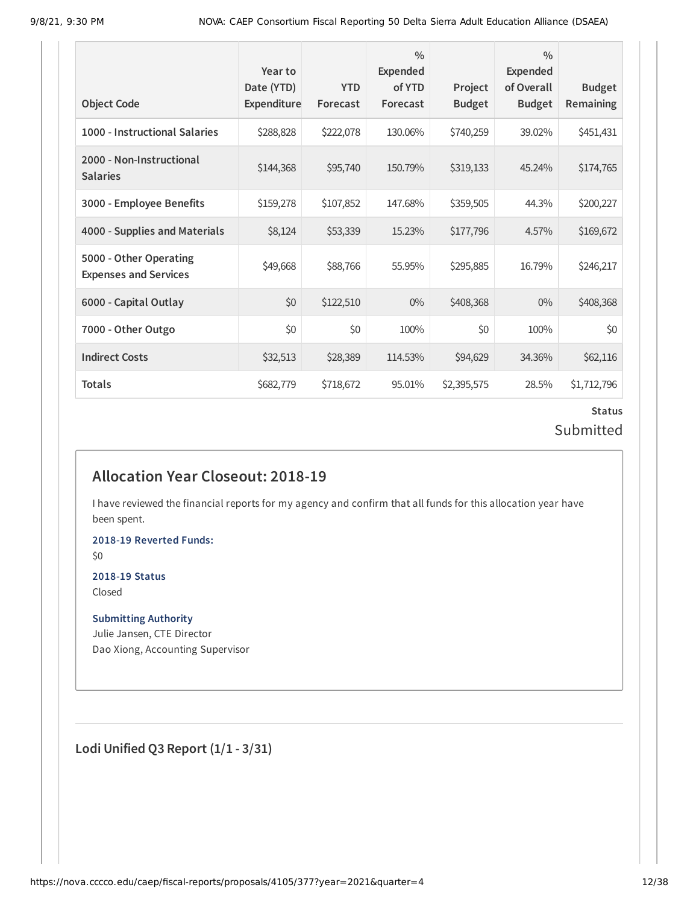| <b>Object Code</b>                                     | Year to<br>Date (YTD)<br>Expenditure | <b>YTD</b><br>Forecast | $\frac{0}{0}$<br><b>Expended</b><br>of YTD<br>Forecast | Project<br><b>Budget</b> | $\frac{0}{0}$<br><b>Expended</b><br>of Overall<br><b>Budget</b> | <b>Budget</b><br>Remaining |
|--------------------------------------------------------|--------------------------------------|------------------------|--------------------------------------------------------|--------------------------|-----------------------------------------------------------------|----------------------------|
| 1000 - Instructional Salaries                          | \$288,828                            | \$222,078              | 130.06%                                                | \$740,259                | 39.02%                                                          | \$451,431                  |
| 2000 - Non-Instructional<br><b>Salaries</b>            | \$144,368                            | \$95,740               | 150.79%                                                | \$319,133                | 45.24%                                                          | \$174,765                  |
| 3000 - Employee Benefits                               | \$159,278                            | \$107,852              | 147.68%                                                | \$359,505                | 44.3%                                                           | \$200,227                  |
| 4000 - Supplies and Materials                          | \$8,124                              | \$53,339               | 15.23%                                                 | \$177,796                | 4.57%                                                           | \$169,672                  |
| 5000 - Other Operating<br><b>Expenses and Services</b> | \$49,668                             | \$88,766               | 55.95%                                                 | \$295,885                | 16.79%                                                          | \$246,217                  |
| 6000 - Capital Outlay                                  | \$0                                  | \$122,510              | $0\%$                                                  | \$408,368                | $0\%$                                                           | \$408,368                  |
| 7000 - Other Outgo                                     | \$0                                  | \$0                    | 100%                                                   | \$0                      | 100%                                                            | \$0                        |
| <b>Indirect Costs</b>                                  | \$32,513                             | \$28,389               | 114.53%                                                | \$94,629                 | 34.36%                                                          | \$62,116                   |
| Totals                                                 | \$682,779                            | \$718,672              | 95.01%                                                 | \$2,395,575              | 28.5%                                                           | \$1,712,796                |

## **Status** Submitted

## **Allocation Year Closeout: 2018-19**

I have reviewed the financial reports for my agency and confirm that all funds for this allocation year have been spent.

**2018-19 Reverted Funds:**

\$0

#### **2018-19 Status** Closed

**Submitting Authority**

Julie Jansen, CTE Director Dao Xiong, Accounting Supervisor

**Lodi Unified Q3 Report (1/1 - 3/31)**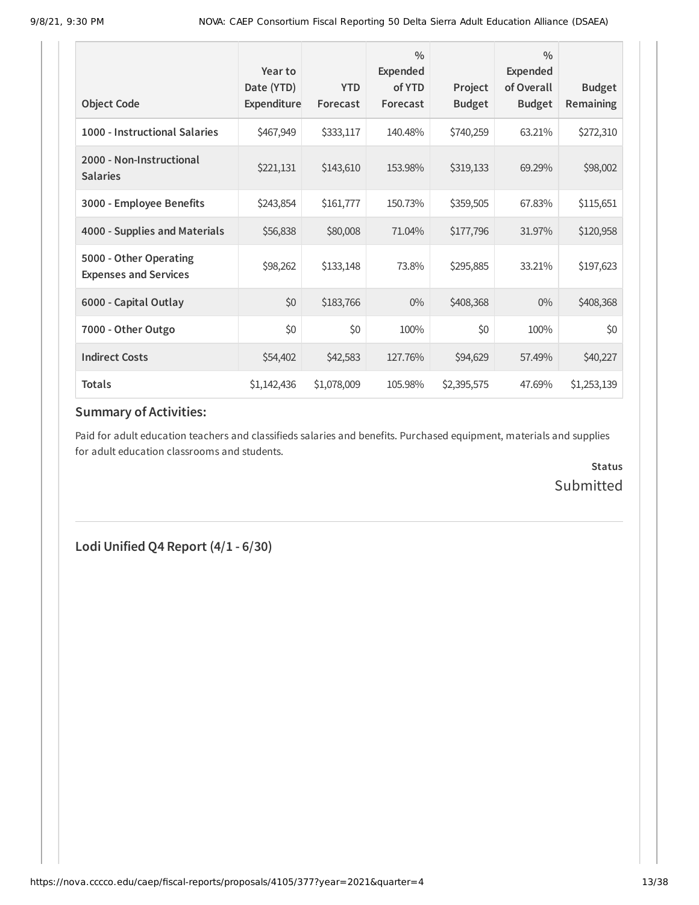| <b>Object Code</b>                                     | Year to<br>Date (YTD)<br>Expenditure | <b>YTD</b><br>Forecast | $\frac{0}{0}$<br>Expended<br>of YTD<br>Forecast | Project<br><b>Budget</b> | $\frac{0}{0}$<br><b>Expended</b><br>of Overall<br><b>Budget</b> | <b>Budget</b><br><b>Remaining</b> |
|--------------------------------------------------------|--------------------------------------|------------------------|-------------------------------------------------|--------------------------|-----------------------------------------------------------------|-----------------------------------|
| 1000 - Instructional Salaries                          |                                      |                        |                                                 |                          | 63.21%                                                          |                                   |
|                                                        | \$467,949                            | \$333,117              | 140.48%                                         | \$740,259                |                                                                 | \$272,310                         |
| 2000 - Non-Instructional<br><b>Salaries</b>            | \$221,131                            | \$143,610              | 153.98%                                         | \$319,133                | 69.29%                                                          | \$98,002                          |
| 3000 - Employee Benefits                               | \$243,854                            | \$161,777              | 150.73%                                         | \$359,505                | 67.83%                                                          | \$115,651                         |
| 4000 - Supplies and Materials                          | \$56,838                             | \$80,008               | 71.04%                                          | \$177,796                | 31.97%                                                          | \$120,958                         |
| 5000 - Other Operating<br><b>Expenses and Services</b> | \$98,262                             | \$133,148              | 73.8%                                           | \$295,885                | 33.21%                                                          | \$197,623                         |
| 6000 - Capital Outlay                                  | \$0                                  | \$183,766              | $0\%$                                           | \$408,368                | $0\%$                                                           | \$408,368                         |
| 7000 - Other Outgo                                     | \$0                                  | \$0                    | 100%                                            | \$0                      | 100%                                                            | \$0                               |
| <b>Indirect Costs</b>                                  | \$54,402                             | \$42,583               | 127.76%                                         | \$94,629                 | 57.49%                                                          | \$40,227                          |
| Totals                                                 | \$1,142,436                          | \$1,078,009            | 105.98%                                         | \$2,395,575              | 47.69%                                                          | \$1,253,139                       |

## **Summary of Activities:**

Paid for adult education teachers and classifieds salaries and benefits. Purchased equipment, materials and supplies for adult education classrooms and students.

> **Status** Submitted

**Lodi Unified Q4 Report (4/1 - 6/30)**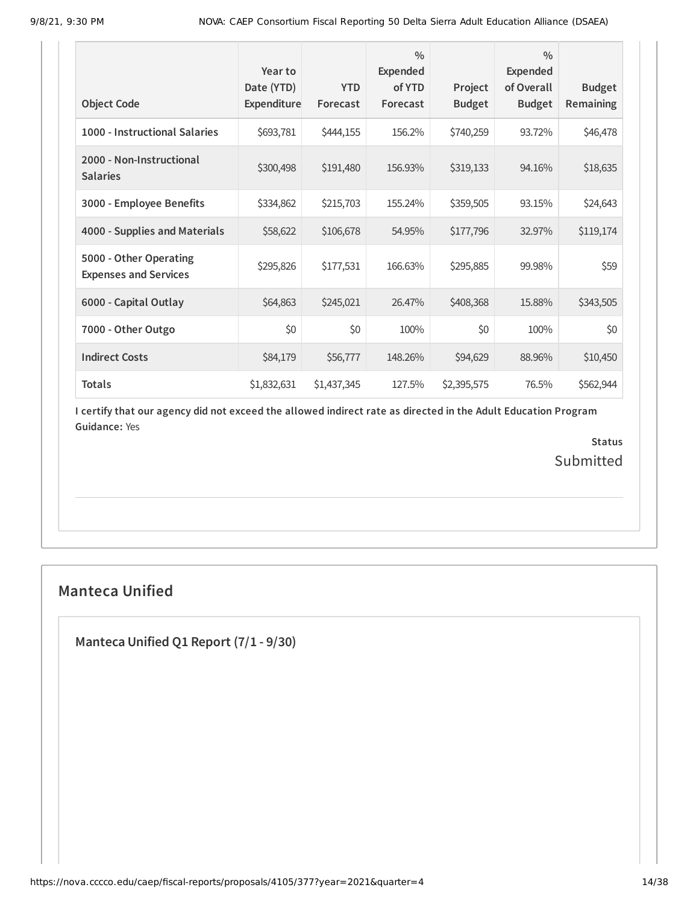| <b>Object Code</b>                                     | Year to<br>Date (YTD)<br>Expenditure | <b>YTD</b><br>Forecast | $\frac{0}{0}$<br><b>Expended</b><br>of YTD<br>Forecast | Project<br><b>Budget</b> | $\frac{0}{0}$<br><b>Expended</b><br>of Overall<br><b>Budget</b> | <b>Budget</b><br><b>Remaining</b> |
|--------------------------------------------------------|--------------------------------------|------------------------|--------------------------------------------------------|--------------------------|-----------------------------------------------------------------|-----------------------------------|
| 1000 - Instructional Salaries                          | \$693,781                            | \$444,155              | 156.2%                                                 | \$740,259                | 93.72%                                                          | \$46,478                          |
| 2000 - Non-Instructional<br><b>Salaries</b>            | \$300,498                            | \$191,480              | 156.93%                                                | \$319,133                | 94.16%                                                          | \$18,635                          |
| 3000 - Employee Benefits                               | \$334,862                            | \$215,703              | 155.24%                                                | \$359,505                | 93.15%                                                          | \$24,643                          |
| 4000 - Supplies and Materials                          | \$58,622                             | \$106,678              | 54.95%                                                 | \$177,796                | 32.97%                                                          | \$119,174                         |
| 5000 - Other Operating<br><b>Expenses and Services</b> | \$295,826                            | \$177,531              | 166.63%                                                | \$295,885                | 99.98%                                                          | \$59                              |
| 6000 - Capital Outlay                                  | \$64,863                             | \$245,021              | 26.47%                                                 | \$408,368                | 15.88%                                                          | \$343,505                         |
| 7000 - Other Outgo                                     | \$0                                  | \$0                    | 100%                                                   | \$0                      | 100%                                                            | \$0                               |
| <b>Indirect Costs</b>                                  | \$84,179                             | \$56,777               | 148.26%                                                | \$94,629                 | 88.96%                                                          | \$10,450                          |
| <b>Totals</b>                                          | \$1,832,631                          | \$1,437,345            | 127.5%                                                 | \$2,395,575              | 76.5%                                                           | \$562,944                         |

> **Status** Submitted

## **Manteca Unified**

**Manteca Unified Q1 Report (7/1 - 9/30)**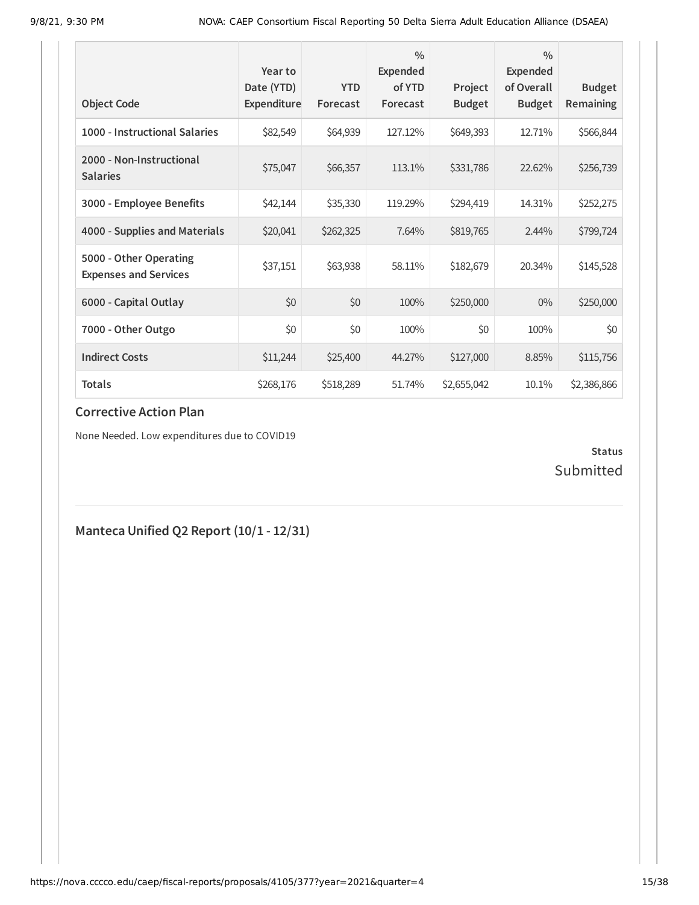|                                                        | Year to<br>Date (YTD) | <b>YTD</b> | $\frac{0}{0}$<br>Expended<br>of YTD | Project       | $\frac{0}{0}$<br><b>Expended</b><br>of Overall | <b>Budget</b> |
|--------------------------------------------------------|-----------------------|------------|-------------------------------------|---------------|------------------------------------------------|---------------|
| <b>Object Code</b>                                     | Expenditure           | Forecast   | Forecast                            | <b>Budget</b> | <b>Budget</b>                                  | Remaining     |
| 1000 - Instructional Salaries                          | \$82,549              | \$64,939   | 127.12%                             | \$649,393     | 12.71%                                         | \$566,844     |
| 2000 - Non-Instructional<br><b>Salaries</b>            | \$75,047              | \$66,357   | 113.1%                              | \$331,786     | 22.62%                                         | \$256,739     |
| 3000 - Employee Benefits                               | \$42,144              | \$35,330   | 119.29%                             | \$294,419     | 14.31%                                         | \$252,275     |
| 4000 - Supplies and Materials                          | \$20,041              | \$262,325  | 7.64%                               | \$819,765     | 2.44%                                          | \$799,724     |
| 5000 - Other Operating<br><b>Expenses and Services</b> | \$37,151              | \$63,938   | 58.11%                              | \$182,679     | 20.34%                                         | \$145,528     |
| 6000 - Capital Outlay                                  | \$0                   | \$0        | 100%                                | \$250,000     | $0\%$                                          | \$250,000     |
| 7000 - Other Outgo                                     | \$0                   | \$0        | 100%                                | \$0           | 100%                                           | \$0           |
| <b>Indirect Costs</b>                                  | \$11,244              | \$25,400   | 44.27%                              | \$127,000     | 8.85%                                          | \$115,756     |
| <b>Totals</b>                                          | \$268,176             | \$518,289  | 51.74%                              | \$2,655,042   | 10.1%                                          | \$2,386,866   |

None Needed. Low expenditures due to COVID19

## **Status** Submitted

## **Manteca Unified Q2 Report (10/1 - 12/31)**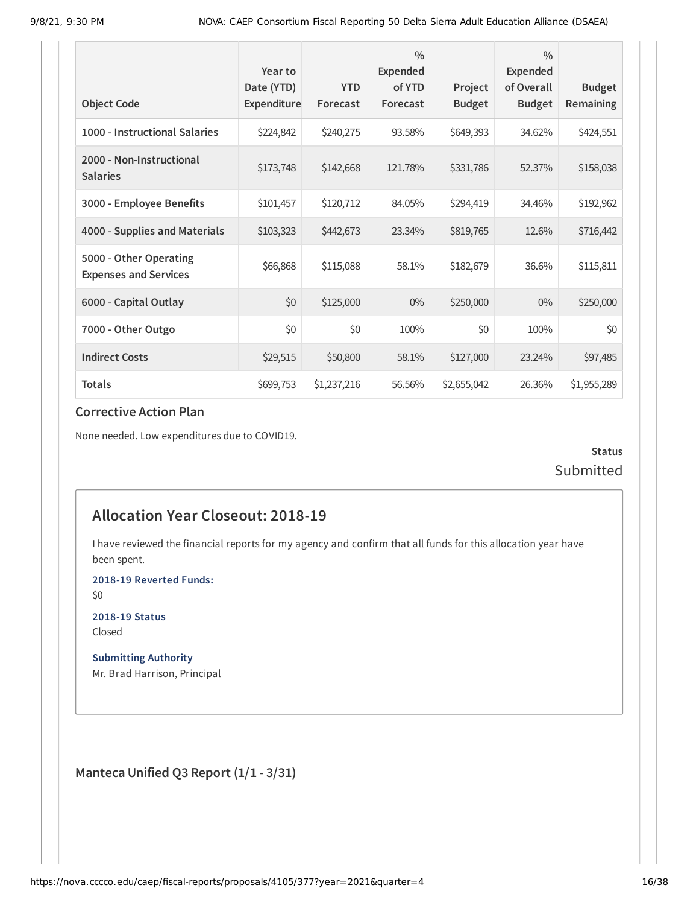| <b>Object Code</b>                                     | Year to<br>Date (YTD)<br>Expenditure | <b>YTD</b><br>Forecast | $\frac{0}{0}$<br><b>Expended</b><br>of YTD<br>Forecast | Project<br><b>Budget</b> | $\frac{0}{0}$<br><b>Expended</b><br>of Overall<br><b>Budget</b> | <b>Budget</b><br><b>Remaining</b> |
|--------------------------------------------------------|--------------------------------------|------------------------|--------------------------------------------------------|--------------------------|-----------------------------------------------------------------|-----------------------------------|
| 1000 - Instructional Salaries                          | \$224,842                            | \$240,275              | 93.58%                                                 | \$649,393                | 34.62%                                                          | \$424,551                         |
| 2000 - Non-Instructional<br><b>Salaries</b>            | \$173,748                            | \$142,668              | 121.78%                                                | \$331,786                | 52.37%                                                          | \$158,038                         |
| 3000 - Employee Benefits                               | \$101,457                            | \$120,712              | 84.05%                                                 | \$294,419                | 34.46%                                                          | \$192,962                         |
| 4000 - Supplies and Materials                          | \$103,323                            | \$442,673              | 23.34%                                                 | \$819,765                | 12.6%                                                           | \$716,442                         |
| 5000 - Other Operating<br><b>Expenses and Services</b> | \$66,868                             | \$115,088              | 58.1%                                                  | \$182,679                | 36.6%                                                           | \$115,811                         |
| 6000 - Capital Outlay                                  | \$0                                  | \$125,000              | $0\%$                                                  | \$250,000                | $0\%$                                                           | \$250,000                         |
| 7000 - Other Outgo                                     | \$0                                  | \$0                    | 100%                                                   | \$0                      | 100%                                                            | \$0                               |
| <b>Indirect Costs</b>                                  | \$29,515                             | \$50,800               | 58.1%                                                  | \$127,000                | 23.24%                                                          | \$97,485                          |
| <b>Totals</b>                                          | \$699,753                            | \$1,237,216            | 56.56%                                                 | \$2,655,042              | 26.36%                                                          | \$1,955,289                       |

None needed. Low expenditures due to COVID19.

**Status** Submitted

## **Allocation Year Closeout: 2018-19**

I have reviewed the financial reports for my agency and confirm that all funds for this allocation year have been spent.

**2018-19 Reverted Funds:**

\$0

**2018-19 Status** Closed

**Submitting Authority** Mr. Brad Harrison, Principal

**Manteca Unified Q3 Report (1/1 - 3/31)**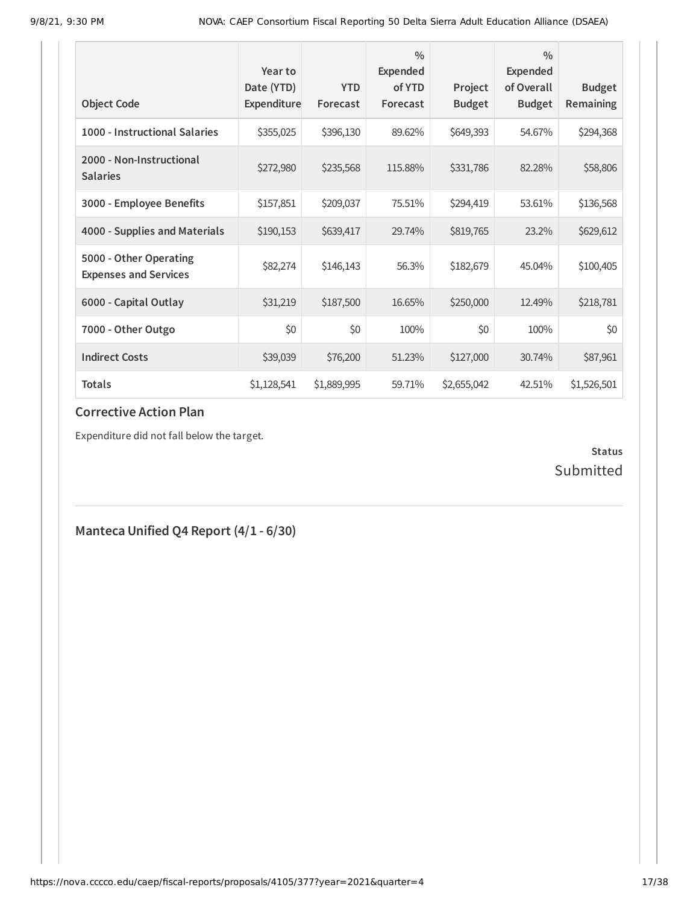| <b>Object Code</b>                                     | Year to<br>Date (YTD)<br><b>Expenditure</b> | <b>YTD</b><br>Forecast | $\frac{0}{0}$<br><b>Expended</b><br>of YTD<br>Forecast | Project<br><b>Budget</b> | $\frac{0}{0}$<br>Expended<br>of Overall<br><b>Budget</b> | <b>Budget</b><br>Remaining |
|--------------------------------------------------------|---------------------------------------------|------------------------|--------------------------------------------------------|--------------------------|----------------------------------------------------------|----------------------------|
| 1000 - Instructional Salaries                          | \$355,025                                   | \$396,130              | 89.62%                                                 | \$649,393                | 54.67%                                                   | \$294,368                  |
| 2000 - Non-Instructional<br><b>Salaries</b>            | \$272,980                                   | \$235,568              | 115.88%                                                | \$331,786                | 82.28%                                                   | \$58,806                   |
| 3000 - Employee Benefits                               | \$157,851                                   | \$209,037              | 75.51%                                                 | \$294,419                | 53.61%                                                   | \$136,568                  |
| 4000 - Supplies and Materials                          | \$190,153                                   | \$639,417              | 29.74%                                                 | \$819,765                | 23.2%                                                    | \$629,612                  |
| 5000 - Other Operating<br><b>Expenses and Services</b> | \$82,274                                    | \$146,143              | 56.3%                                                  | \$182,679                | 45.04%                                                   | \$100,405                  |
| 6000 - Capital Outlay                                  | \$31,219                                    | \$187,500              | 16.65%                                                 | \$250,000                | 12.49%                                                   | \$218,781                  |
| 7000 - Other Outgo                                     | \$0                                         | \$0                    | 100%                                                   | \$0                      | 100%                                                     | \$0                        |
| <b>Indirect Costs</b>                                  | \$39,039                                    | \$76,200               | 51.23%                                                 | \$127,000                | 30.74%                                                   | \$87,961                   |
| <b>Totals</b>                                          | \$1,128,541                                 | \$1,889,995            | 59.71%                                                 | \$2,655,042              | 42.51%                                                   | \$1,526,501                |

Expenditure did not fall below the target.

## **Status** Submitted

**Manteca Unified Q4 Report (4/1 - 6/30)**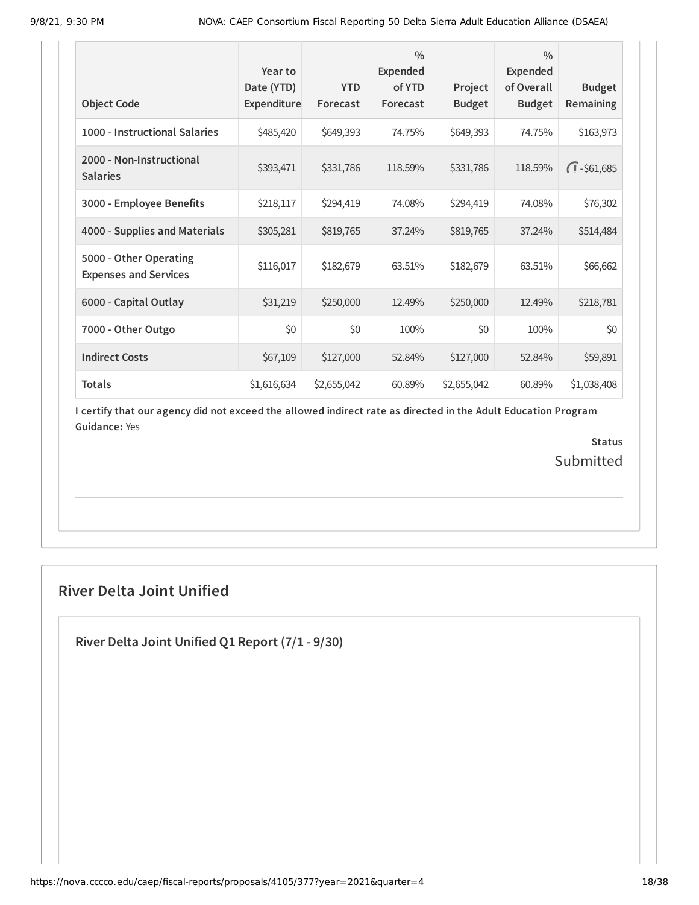| <b>Object Code</b>                                     | Year to<br>Date (YTD)<br>Expenditure | <b>YTD</b><br>Forecast | $\frac{0}{0}$<br>Expended<br>of YTD<br>Forecast | Project<br><b>Budget</b> | $\frac{0}{0}$<br>Expended<br>of Overall<br><b>Budget</b> | <b>Budget</b><br>Remaining |
|--------------------------------------------------------|--------------------------------------|------------------------|-------------------------------------------------|--------------------------|----------------------------------------------------------|----------------------------|
| 1000 - Instructional Salaries                          | \$485,420                            | \$649,393              | 74.75%                                          | \$649,393                | 74.75%                                                   | \$163,973                  |
| 2000 - Non-Instructional<br><b>Salaries</b>            | \$393,471                            | \$331,786              | 118.59%                                         | \$331,786                | 118.59%                                                  | $\sqrt{1} - $61,685$       |
| 3000 - Employee Benefits                               | \$218,117                            | \$294,419              | 74.08%                                          | \$294,419                | 74.08%                                                   | \$76,302                   |
| 4000 - Supplies and Materials                          | \$305,281                            | \$819,765              | 37.24%                                          | \$819,765                | 37.24%                                                   | \$514,484                  |
| 5000 - Other Operating<br><b>Expenses and Services</b> | \$116,017                            | \$182,679              | 63.51%                                          | \$182,679                | 63.51%                                                   | \$66,662                   |
| 6000 - Capital Outlay                                  | \$31,219                             | \$250,000              | 12.49%                                          | \$250,000                | 12.49%                                                   | \$218,781                  |
| 7000 - Other Outgo                                     | \$0                                  | \$0                    | 100%                                            | \$0                      | 100%                                                     | \$0                        |
| <b>Indirect Costs</b>                                  | \$67,109                             | \$127,000              | 52.84%                                          | \$127,000                | 52.84%                                                   | \$59,891                   |
| <b>Totals</b>                                          | \$1,616,634                          | \$2,655,042            | 60.89%                                          | \$2,655,042              | 60.89%                                                   | \$1,038,408                |

> **Status** Submitted

## **River Delta Joint Unified**

**River Delta Joint Unified Q1 Report (7/1 - 9/30)**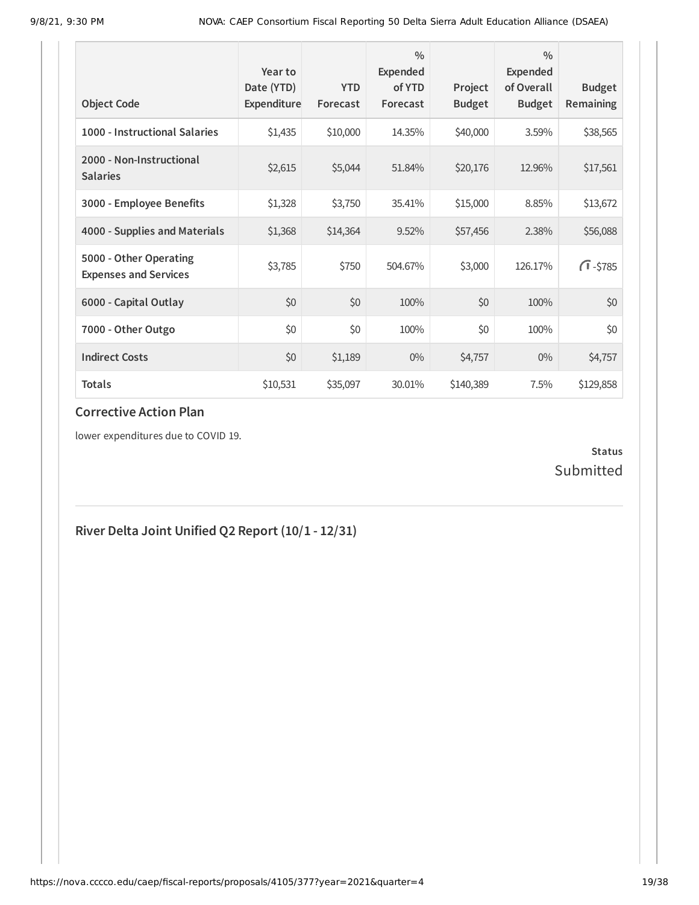| <b>Object Code</b>                                     | Year to<br>Date (YTD)<br>Expenditure | <b>YTD</b><br>Forecast | $\frac{0}{0}$<br>Expended<br>of YTD<br>Forecast | Project<br><b>Budget</b> | $\frac{0}{0}$<br>Expended<br>of Overall<br><b>Budget</b> | <b>Budget</b><br>Remaining |
|--------------------------------------------------------|--------------------------------------|------------------------|-------------------------------------------------|--------------------------|----------------------------------------------------------|----------------------------|
| 1000 - Instructional Salaries                          | \$1,435                              | \$10,000               | 14.35%                                          | \$40,000                 | 3.59%                                                    | \$38,565                   |
| 2000 - Non-Instructional<br><b>Salaries</b>            | \$2,615                              | \$5,044                | 51.84%                                          | \$20,176                 | 12.96%                                                   | \$17,561                   |
| 3000 - Employee Benefits                               | \$1,328                              | \$3,750                | 35.41%                                          | \$15,000                 | 8.85%                                                    | \$13,672                   |
| 4000 - Supplies and Materials                          | \$1,368                              | \$14,364               | 9.52%                                           | \$57,456                 | 2.38%                                                    | \$56,088                   |
| 5000 - Other Operating<br><b>Expenses and Services</b> | \$3,785                              | \$750                  | 504.67%                                         | \$3,000                  | 126.17%                                                  | $\sqrt{1} - $785$          |
| 6000 - Capital Outlay                                  | \$0                                  | \$0                    | 100%                                            | \$0                      | 100%                                                     | \$0                        |
| 7000 - Other Outgo                                     | \$0                                  | \$0                    | 100%                                            | \$0                      | 100%                                                     | \$0                        |
| <b>Indirect Costs</b>                                  | \$0                                  | \$1,189                | $0\%$                                           | \$4,757                  | $0\%$                                                    | \$4,757                    |
| <b>Totals</b>                                          | \$10,531                             | \$35,097               | 30.01%                                          | \$140,389                | 7.5%                                                     | \$129,858                  |

lower expenditures due to COVID 19.

## **Status** Submitted

## **River Delta Joint Unified Q2 Report (10/1 - 12/31)**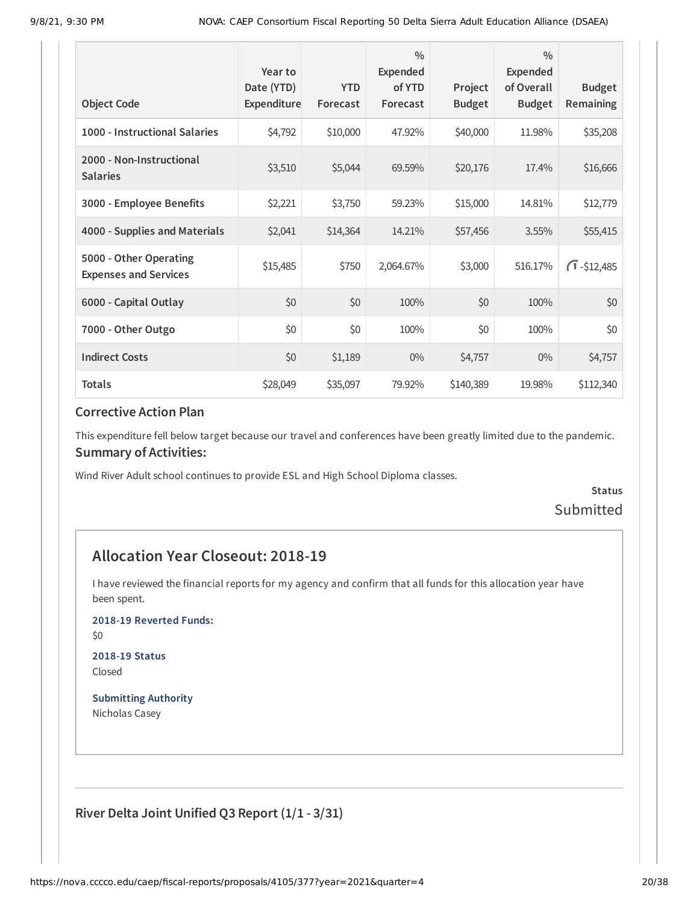| <b>Object Code</b>                                     | Year to<br>Date (YTD)<br>Expenditure | <b>YTD</b><br>Forecast | $\frac{0}{0}$<br>Expended<br>of YTD<br>Forecast | Project<br><b>Budget</b> | $\frac{0}{0}$<br><b>Expended</b><br>of Overall<br><b>Budget</b> | <b>Budget</b><br>Remaining |
|--------------------------------------------------------|--------------------------------------|------------------------|-------------------------------------------------|--------------------------|-----------------------------------------------------------------|----------------------------|
| 1000 - Instructional Salaries                          | \$4,792                              | \$10,000               | 47.92%                                          | \$40,000                 | 11.98%                                                          | \$35,208                   |
| 2000 - Non-Instructional<br><b>Salaries</b>            | \$3,510                              | \$5,044                | 69.59%                                          | \$20,176                 | 17.4%                                                           | \$16,666                   |
| 3000 - Employee Benefits                               | \$2,221                              | \$3,750                | 59.23%                                          | \$15,000                 | 14.81%                                                          | \$12,779                   |
| 4000 - Supplies and Materials                          | \$2,041                              | \$14,364               | 14.21%                                          | \$57,456                 | 3.55%                                                           | \$55,415                   |
| 5000 - Other Operating<br><b>Expenses and Services</b> | \$15,485                             | \$750                  | 2,064.67%                                       | \$3,000                  | 516.17%                                                         | $\sqrt{1} - $12,485$       |
| 6000 - Capital Outlay                                  | \$0                                  | \$0                    | 100%                                            | \$0                      | 100%                                                            | \$0                        |
| 7000 - Other Outgo                                     | \$0                                  | \$0                    | 100%                                            | \$0                      | 100%                                                            | \$0                        |
| <b>Indirect Costs</b>                                  | \$0                                  | \$1,189                | $0\%$                                           | \$4,757                  | $0\%$                                                           | \$4,757                    |
| <b>Totals</b>                                          | \$28,049                             | \$35,097               | 79.92%                                          | \$140,389                | 19.98%                                                          | \$112,340                  |

This expenditure fell below target because our travel and conferences have been greatly limited due to the pandemic. **Summary of Activities:**

Wind River Adult school continues to provide ESL and High School Diploma classes.

**Status** Submitted

## **Allocation Year Closeout: 2018-19**

I have reviewed the financial reports for my agency and confirm that all funds for this allocation year have been spent.

**2018-19 Reverted Funds:**

\$0

**2018-19 Status** Closed

**Submitting Authority** Nicholas Casey

**River Delta Joint Unified Q3 Report (1/1 - 3/31)**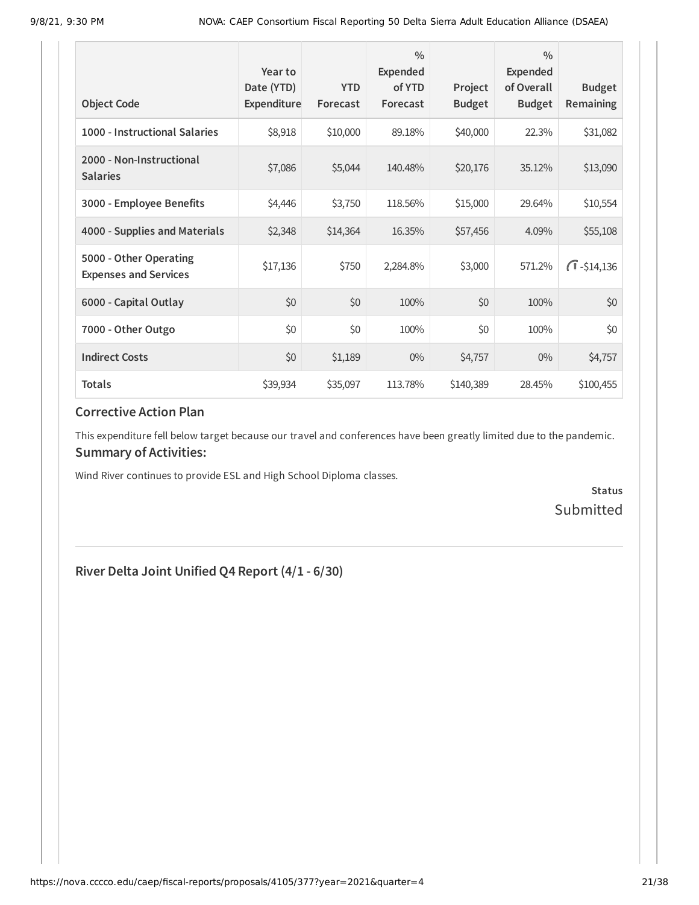| <b>Object Code</b>                                     | Year to<br>Date (YTD)<br>Expenditure | <b>YTD</b><br>Forecast | $\frac{0}{0}$<br><b>Expended</b><br>of YTD<br>Forecast | Project<br><b>Budget</b> | $\frac{0}{0}$<br><b>Expended</b><br>of Overall<br><b>Budget</b> | <b>Budget</b><br>Remaining |
|--------------------------------------------------------|--------------------------------------|------------------------|--------------------------------------------------------|--------------------------|-----------------------------------------------------------------|----------------------------|
| 1000 - Instructional Salaries                          | \$8,918                              | \$10,000               | 89.18%                                                 | \$40,000                 | 22.3%                                                           | \$31,082                   |
| 2000 - Non-Instructional<br><b>Salaries</b>            | \$7,086                              | \$5,044                | 140.48%                                                | \$20,176                 | 35.12%                                                          | \$13,090                   |
| 3000 - Employee Benefits                               | \$4,446                              | \$3,750                | 118.56%                                                | \$15,000                 | 29.64%                                                          | \$10,554                   |
| 4000 - Supplies and Materials                          | \$2,348                              | \$14,364               | 16.35%                                                 | \$57,456                 | 4.09%                                                           | \$55,108                   |
| 5000 - Other Operating<br><b>Expenses and Services</b> | \$17,136                             | \$750                  | 2,284.8%                                               | \$3,000                  | 571.2%                                                          | $\sqrt{1} - $14,136$       |
| 6000 - Capital Outlay                                  | \$0                                  | \$0                    | 100%                                                   | \$0                      | 100%                                                            | \$0                        |
| 7000 - Other Outgo                                     | \$0                                  | \$0                    | 100%                                                   | \$0                      | 100%                                                            | \$0                        |
| <b>Indirect Costs</b>                                  | \$0                                  | \$1,189                | $0\%$                                                  | \$4,757                  | $0\%$                                                           | \$4,757                    |
| <b>Totals</b>                                          | \$39,934                             | \$35,097               | 113.78%                                                | \$140,389                | 28.45%                                                          | \$100,455                  |

This expenditure fell below target because our travel and conferences have been greatly limited due to the pandemic. **Summary of Activities:**

Wind River continues to provide ESL and High School Diploma classes.

**Status** Submitted

## **River Delta Joint Unified Q4 Report (4/1 - 6/30)**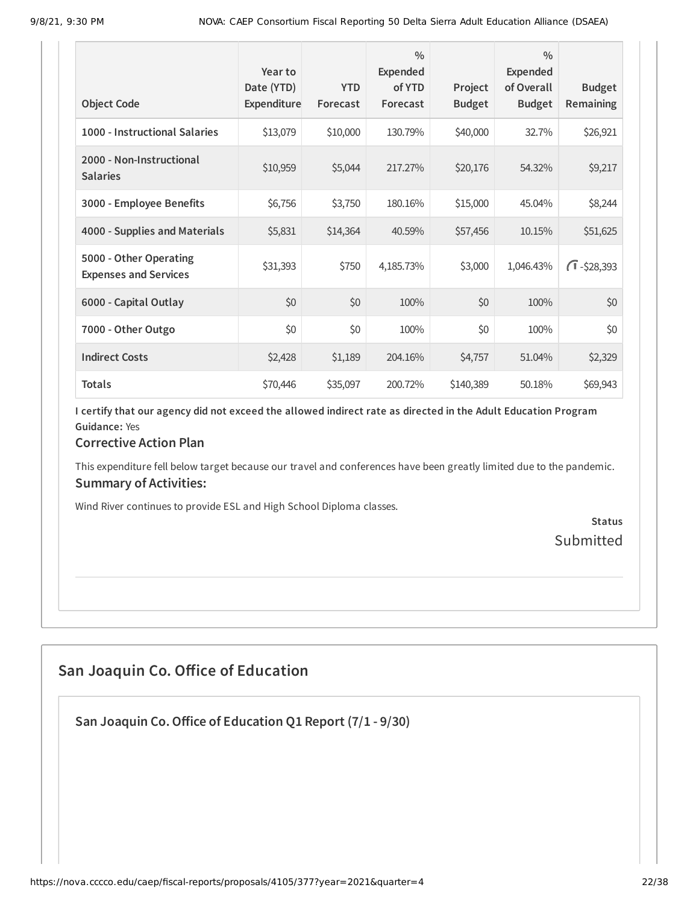| <b>Object Code</b>                                     | Year to<br>Date (YTD)<br>Expenditure | <b>YTD</b><br>Forecast | $\frac{0}{0}$<br>Expended<br>of YTD<br>Forecast | Project<br><b>Budget</b> | $\frac{0}{0}$<br><b>Expended</b><br>of Overall<br><b>Budget</b> | <b>Budget</b><br>Remaining |
|--------------------------------------------------------|--------------------------------------|------------------------|-------------------------------------------------|--------------------------|-----------------------------------------------------------------|----------------------------|
| 1000 - Instructional Salaries                          | \$13,079                             | \$10,000               | 130.79%                                         | \$40,000                 | 32.7%                                                           | \$26,921                   |
| 2000 - Non-Instructional<br><b>Salaries</b>            | \$10,959                             | \$5,044                | 217.27%                                         | \$20,176                 | 54.32%                                                          | \$9,217                    |
| 3000 - Employee Benefits                               | \$6,756                              | \$3,750                | 180.16%                                         | \$15,000                 | 45.04%                                                          | \$8,244                    |
| 4000 - Supplies and Materials                          | \$5,831                              | \$14,364               | 40.59%                                          | \$57,456                 | 10.15%                                                          | \$51,625                   |
| 5000 - Other Operating<br><b>Expenses and Services</b> | \$31,393                             | \$750                  | 4,185.73%                                       | \$3,000                  | 1,046.43%                                                       | $\sqrt{1} - $28,393$       |
| 6000 - Capital Outlay                                  | \$0                                  | \$0                    | 100%                                            | \$0                      | 100%                                                            | \$0                        |
| 7000 - Other Outgo                                     | \$0                                  | \$0                    | 100%                                            | \$0                      | 100%                                                            | \$0                        |
| <b>Indirect Costs</b>                                  | \$2,428                              | \$1,189                | 204.16%                                         | \$4,757                  | 51.04%                                                          | \$2,329                    |
| <b>Totals</b>                                          | \$70,446                             | \$35,097               | 200.72%                                         | \$140,389                | 50.18%                                                          | \$69,943                   |

#### **Corrective Action Plan**

This expenditure fell below target because our travel and conferences have been greatly limited due to the pandemic. **Summary of Activities:**

Wind River continues to provide ESL and High School Diploma classes.

**Status Submitted** 

## **San Joaquin Co. Office of Education**

**San Joaquin Co.Office of Education Q1 Report (7/1 - 9/30)**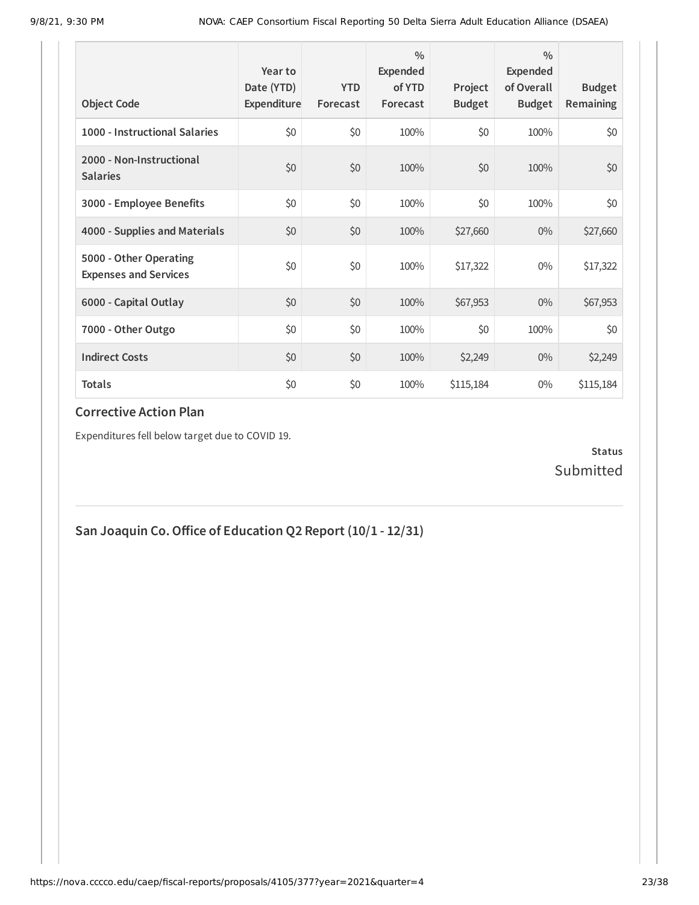| <b>Object Code</b>                                     | Year to<br>Date (YTD)<br>Expenditure | <b>YTD</b><br>Forecast | $\frac{0}{0}$<br>Expended<br>of YTD<br>Forecast | Project<br><b>Budget</b> | $\frac{0}{0}$<br><b>Expended</b><br>of Overall<br><b>Budget</b> | <b>Budget</b><br><b>Remaining</b> |
|--------------------------------------------------------|--------------------------------------|------------------------|-------------------------------------------------|--------------------------|-----------------------------------------------------------------|-----------------------------------|
| 1000 - Instructional Salaries                          | \$0                                  | \$0                    | 100%                                            | \$0                      | 100%                                                            | \$0                               |
| 2000 - Non-Instructional<br><b>Salaries</b>            | \$0                                  | \$0                    | 100%                                            | \$0                      | 100%                                                            | \$0                               |
| 3000 - Employee Benefits                               | \$0                                  | \$0                    | 100%                                            | \$0                      | 100%                                                            | \$0                               |
| 4000 - Supplies and Materials                          | \$0                                  | \$0                    | 100%                                            | \$27,660                 | $0\%$                                                           | \$27,660                          |
| 5000 - Other Operating<br><b>Expenses and Services</b> | \$0                                  | \$0                    | 100%                                            | \$17,322                 | $0\%$                                                           | \$17,322                          |
| 6000 - Capital Outlay                                  | \$0                                  | \$0                    | 100%                                            | \$67,953                 | $0\%$                                                           | \$67,953                          |
| 7000 - Other Outgo                                     | \$0                                  | \$0                    | 100%                                            | \$0                      | 100%                                                            | \$0                               |
| <b>Indirect Costs</b>                                  | \$0                                  | \$0                    | 100%                                            | \$2,249                  | $0\%$                                                           | \$2,249                           |
| <b>Totals</b>                                          | \$0                                  | \$0                    | 100%                                            | \$115,184                | $0\%$                                                           | \$115,184                         |

Expenditures fell below target due to COVID 19.

## **Status** Submitted

**San Joaquin Co.Office of Education Q2 Report (10/1 - 12/31)**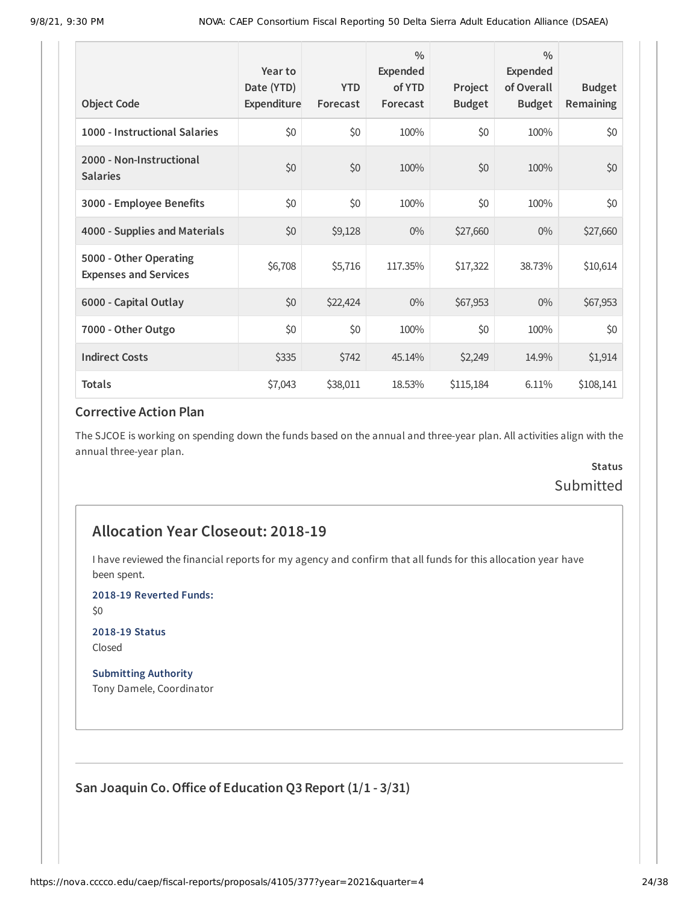| <b>Object Code</b>                                     | Year to<br>Date (YTD)<br>Expenditure | <b>YTD</b><br>Forecast | $\frac{0}{0}$<br>Expended<br>of YTD<br>Forecast | Project<br><b>Budget</b> | $\frac{0}{0}$<br><b>Expended</b><br>of Overall<br><b>Budget</b> | <b>Budget</b><br><b>Remaining</b> |
|--------------------------------------------------------|--------------------------------------|------------------------|-------------------------------------------------|--------------------------|-----------------------------------------------------------------|-----------------------------------|
| 1000 - Instructional Salaries                          | \$0                                  | \$0                    | 100%                                            | \$0                      | 100%                                                            | \$0                               |
| 2000 - Non-Instructional<br><b>Salaries</b>            | \$0                                  | \$0                    | 100%                                            | \$0                      | 100%                                                            | \$0                               |
| 3000 - Employee Benefits                               | \$0                                  | \$0                    | 100%                                            | \$0                      | 100%                                                            | \$0                               |
| 4000 - Supplies and Materials                          | \$0                                  | \$9,128                | $0\%$                                           | \$27,660                 | $0\%$                                                           | \$27,660                          |
| 5000 - Other Operating<br><b>Expenses and Services</b> | \$6,708                              | \$5,716                | 117.35%                                         | \$17,322                 | 38.73%                                                          | \$10,614                          |
| 6000 - Capital Outlay                                  | \$0                                  | \$22,424               | $0\%$                                           | \$67,953                 | $0\%$                                                           | \$67,953                          |
| 7000 - Other Outgo                                     | \$0                                  | \$0                    | 100%                                            | \$0                      | 100%                                                            | \$0                               |
| <b>Indirect Costs</b>                                  | \$335                                | \$742                  | 45.14%                                          | \$2,249                  | 14.9%                                                           | \$1,914                           |
| <b>Totals</b>                                          | \$7,043                              | \$38,011               | 18.53%                                          | \$115,184                | 6.11%                                                           | \$108,141                         |

The SJCOE is working on spending down the funds based on the annual and three-year plan. All activities align with the annual three-year plan.

## **Status** Submitted

## **Allocation Year Closeout: 2018-19**

I have reviewed the financial reports for my agency and confirm that all funds for this allocation year have been spent.

**2018-19 Reverted Funds:**

\$0

**2018-19 Status** Closed

**Submitting Authority** Tony Damele, Coordinator

**San Joaquin Co.Office of Education Q3 Report (1/1 - 3/31)**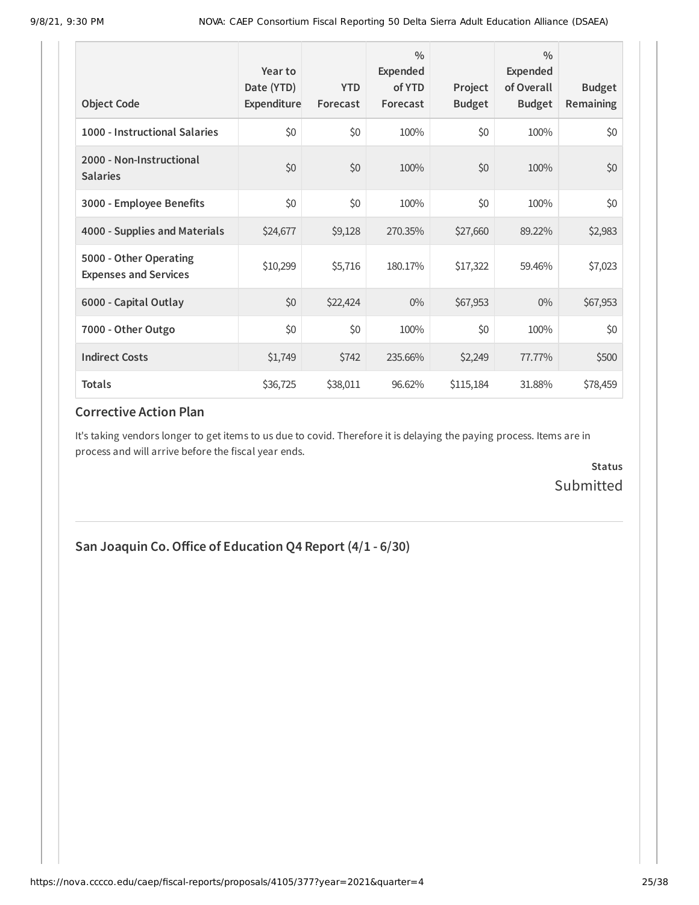| <b>Object Code</b>                                     | Year to<br>Date (YTD)<br>Expenditure | <b>YTD</b><br>Forecast | $\frac{0}{0}$<br><b>Expended</b><br>of YTD<br>Forecast | Project<br><b>Budget</b> | $\frac{0}{0}$<br><b>Expended</b><br>of Overall<br><b>Budget</b> | <b>Budget</b><br>Remaining |
|--------------------------------------------------------|--------------------------------------|------------------------|--------------------------------------------------------|--------------------------|-----------------------------------------------------------------|----------------------------|
| 1000 - Instructional Salaries                          | \$0                                  | \$0                    | 100%                                                   | \$0                      | 100%                                                            | \$0                        |
| 2000 - Non-Instructional<br><b>Salaries</b>            | \$0                                  | \$0                    | 100%                                                   | \$0                      | 100%                                                            | \$0                        |
| 3000 - Employee Benefits                               | \$0                                  | \$0                    | 100%                                                   | \$0                      | 100%                                                            | \$0                        |
| 4000 - Supplies and Materials                          | \$24,677                             | \$9,128                | 270.35%                                                | \$27,660                 | 89.22%                                                          | \$2,983                    |
| 5000 - Other Operating<br><b>Expenses and Services</b> | \$10,299                             | \$5,716                | 180.17%                                                | \$17,322                 | 59.46%                                                          | \$7,023                    |
| 6000 - Capital Outlay                                  | \$0                                  | \$22,424               | $0\%$                                                  | \$67,953                 | $0\%$                                                           | \$67,953                   |
| 7000 - Other Outgo                                     | \$0                                  | \$0                    | 100%                                                   | \$0                      | 100%                                                            | \$0                        |
| <b>Indirect Costs</b>                                  | \$1,749                              | \$742                  | 235.66%                                                | \$2,249                  | 77.77%                                                          | \$500                      |
| <b>Totals</b>                                          | \$36,725                             | \$38,011               | 96.62%                                                 | \$115,184                | 31.88%                                                          | \$78,459                   |

It's taking vendors longer to get items to us due to covid. Therefore it is delaying the paying process. Items are in process and will arrive before the fiscal year ends.

> **Status** Submitted

**San Joaquin Co.Office of Education Q4 Report (4/1 - 6/30)**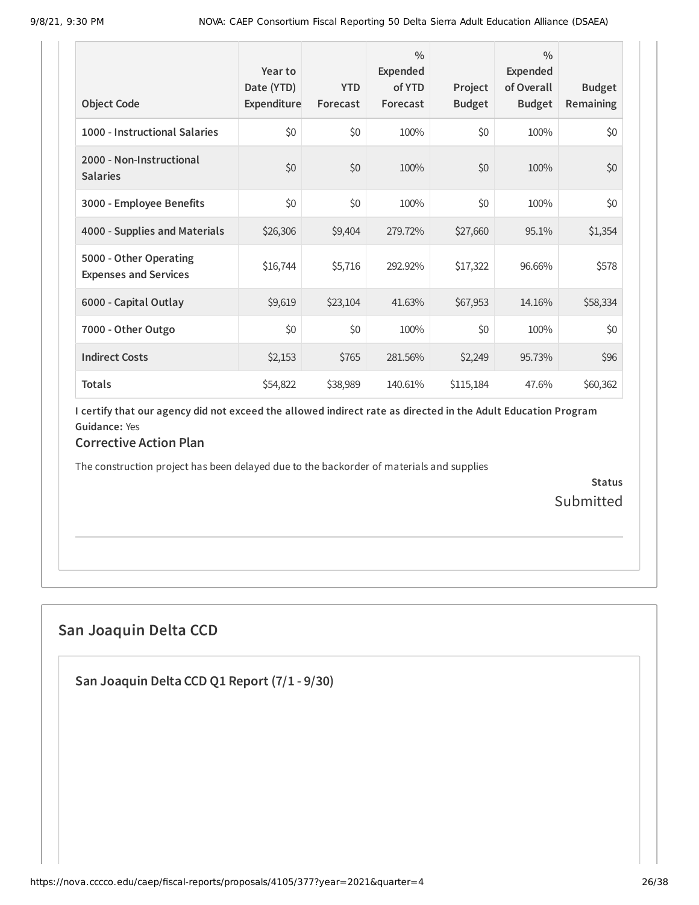| <b>Object Code</b>                                     | Year to<br>Date (YTD)<br>Expenditure | <b>YTD</b><br>Forecast | $\frac{0}{0}$<br><b>Expended</b><br>of YTD<br>Forecast | Project<br><b>Budget</b> | $\frac{0}{0}$<br><b>Expended</b><br>of Overall<br><b>Budget</b> | <b>Budget</b><br><b>Remaining</b> |
|--------------------------------------------------------|--------------------------------------|------------------------|--------------------------------------------------------|--------------------------|-----------------------------------------------------------------|-----------------------------------|
| 1000 - Instructional Salaries                          | \$0                                  | \$0                    | 100%                                                   | \$0                      | 100%                                                            | \$0                               |
| 2000 - Non-Instructional<br><b>Salaries</b>            | \$0                                  | \$0                    | 100%                                                   | \$0                      | 100%                                                            | \$0                               |
| 3000 - Employee Benefits                               | \$0                                  | \$0                    | 100%                                                   | \$0                      | 100%                                                            | \$0                               |
| 4000 - Supplies and Materials                          | \$26,306                             | \$9,404                | 279.72%                                                | \$27,660                 | 95.1%                                                           | \$1,354                           |
| 5000 - Other Operating<br><b>Expenses and Services</b> | \$16,744                             | \$5,716                | 292.92%                                                | \$17,322                 | 96.66%                                                          | \$578                             |
| 6000 - Capital Outlay                                  | \$9,619                              | \$23,104               | 41.63%                                                 | \$67,953                 | 14.16%                                                          | \$58,334                          |
| 7000 - Other Outgo                                     | \$0                                  | \$0                    | 100%                                                   | \$0                      | 100%                                                            | \$0                               |
| <b>Indirect Costs</b>                                  | \$2,153                              | \$765                  | 281.56%                                                | \$2,249                  | 95.73%                                                          | \$96                              |
| <b>Totals</b>                                          | \$54,822                             | \$38,989               | 140.61%                                                | \$115,184                | 47.6%                                                           | \$60,362                          |

#### **Corrective Action Plan**

The construction project has been delayed due to the backorder of materials and supplies

**Status** Submitted

## **San Joaquin Delta CCD**

**San Joaquin Delta CCD Q1 Report (7/1 - 9/30)**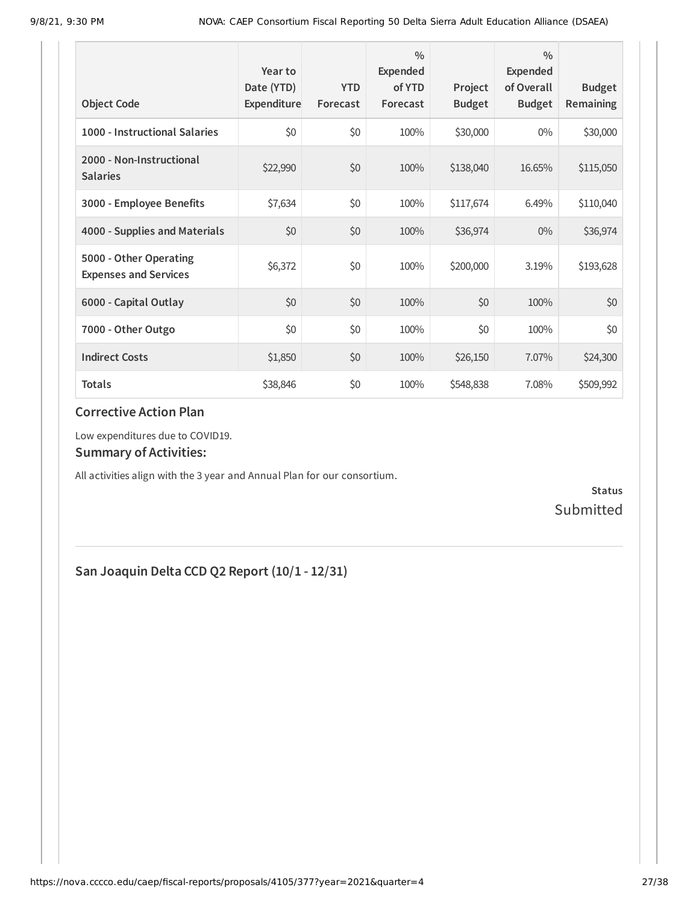| <b>Object Code</b>                                     | Year to<br>Date (YTD)<br>Expenditure | <b>YTD</b><br>Forecast | $\frac{0}{0}$<br>Expended<br>of YTD<br>Forecast | Project<br><b>Budget</b> | $\frac{0}{0}$<br><b>Expended</b><br>of Overall<br><b>Budget</b> | <b>Budget</b><br>Remaining |
|--------------------------------------------------------|--------------------------------------|------------------------|-------------------------------------------------|--------------------------|-----------------------------------------------------------------|----------------------------|
| 1000 - Instructional Salaries                          | \$0                                  | \$0                    | 100%                                            | \$30,000                 | $0\%$                                                           | \$30,000                   |
| 2000 - Non-Instructional<br><b>Salaries</b>            | \$22,990                             | \$0                    | 100%                                            | \$138,040                | 16.65%                                                          | \$115,050                  |
| 3000 - Employee Benefits                               | \$7,634                              | \$0                    | 100%                                            | \$117,674                | 6.49%                                                           | \$110,040                  |
| 4000 - Supplies and Materials                          | \$0                                  | \$0                    | 100%                                            | \$36,974                 | $0\%$                                                           | \$36,974                   |
| 5000 - Other Operating<br><b>Expenses and Services</b> | \$6,372                              | \$0                    | 100%                                            | \$200,000                | 3.19%                                                           | \$193,628                  |
| 6000 - Capital Outlay                                  | \$0                                  | \$0                    | 100%                                            | \$0                      | 100%                                                            | \$0                        |
| 7000 - Other Outgo                                     | \$0                                  | \$0                    | 100%                                            | \$0                      | 100%                                                            | \$0                        |
| <b>Indirect Costs</b>                                  | \$1,850                              | \$0                    | 100%                                            | \$26,150                 | 7.07%                                                           | \$24,300                   |
| <b>Totals</b>                                          | \$38,846                             | \$0                    | 100%                                            | \$548,838                | 7.08%                                                           | \$509,992                  |

Low expenditures due to COVID19.

#### **Summary of Activities:**

All activities align with the 3 year and Annual Plan for our consortium.

**Status** Submitted

## **San Joaquin Delta CCD Q2 Report (10/1 - 12/31)**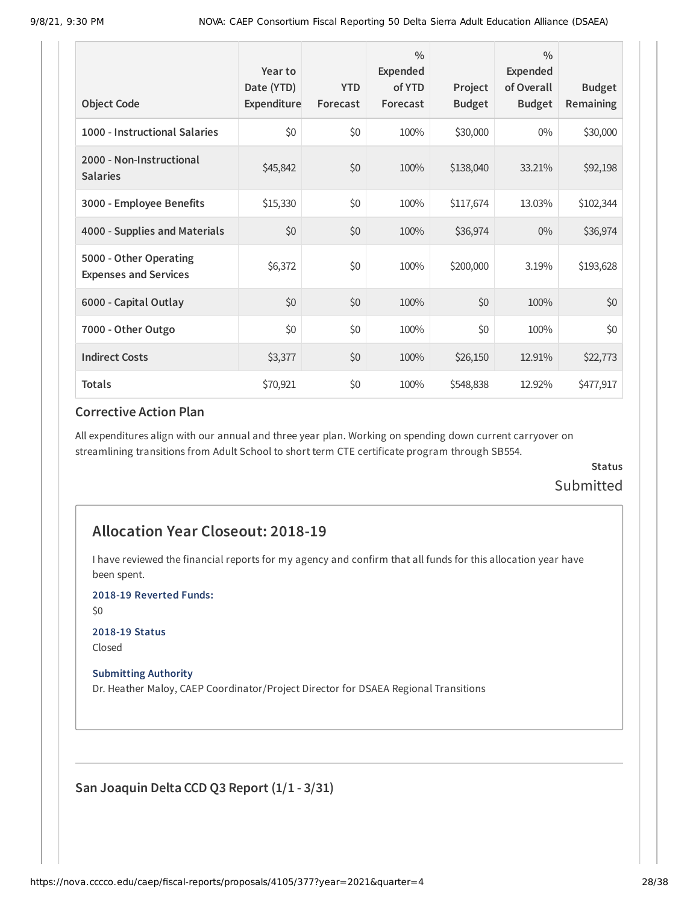| <b>Object Code</b>                                     | Year to<br>Date (YTD)<br>Expenditure | <b>YTD</b><br>Forecast | $\frac{0}{0}$<br><b>Expended</b><br>of YTD<br>Forecast | Project<br><b>Budget</b> | $\frac{0}{0}$<br><b>Expended</b><br>of Overall<br><b>Budget</b> | <b>Budget</b><br>Remaining |
|--------------------------------------------------------|--------------------------------------|------------------------|--------------------------------------------------------|--------------------------|-----------------------------------------------------------------|----------------------------|
| 1000 - Instructional Salaries                          | \$0                                  | \$0                    | 100%                                                   | \$30,000                 | $0\%$                                                           | \$30,000                   |
| 2000 - Non-Instructional<br><b>Salaries</b>            | \$45,842                             | \$0                    | 100%                                                   | \$138,040                | 33.21%                                                          | \$92,198                   |
| 3000 - Employee Benefits                               | \$15,330                             | \$0                    | 100%                                                   | \$117,674                | 13.03%                                                          | \$102,344                  |
| 4000 - Supplies and Materials                          | \$0                                  | \$0                    | 100%                                                   | \$36,974                 | $0\%$                                                           | \$36,974                   |
| 5000 - Other Operating<br><b>Expenses and Services</b> | \$6,372                              | \$0                    | 100%                                                   | \$200,000                | 3.19%                                                           | \$193,628                  |
| 6000 - Capital Outlay                                  | \$0                                  | \$0                    | 100%                                                   | \$0                      | 100%                                                            | \$0                        |
| 7000 - Other Outgo                                     | \$0                                  | \$0                    | 100%                                                   | \$0                      | 100%                                                            | \$0                        |
| <b>Indirect Costs</b>                                  | \$3,377                              | \$0                    | 100%                                                   | \$26,150                 | 12.91%                                                          | \$22,773                   |
| <b>Totals</b>                                          | \$70,921                             | \$0                    | 100%                                                   | \$548,838                | 12.92%                                                          | \$477,917                  |

All expenditures align with our annual and three year plan. Working on spending down current carryover on streamlining transitions from Adult School to short term CTE certificate program through SB554.

## **Status** Submitted

## **Allocation Year Closeout: 2018-19**

I have reviewed the financial reports for my agency and confirm that all funds for this allocation year have been spent.

**2018-19 Reverted Funds:**

\$0

#### **2018-19 Status**

Closed

#### **Submitting Authority**

Dr. Heather Maloy, CAEP Coordinator/Project Director for DSAEA Regional Transitions

**San Joaquin Delta CCD Q3 Report (1/1 - 3/31)**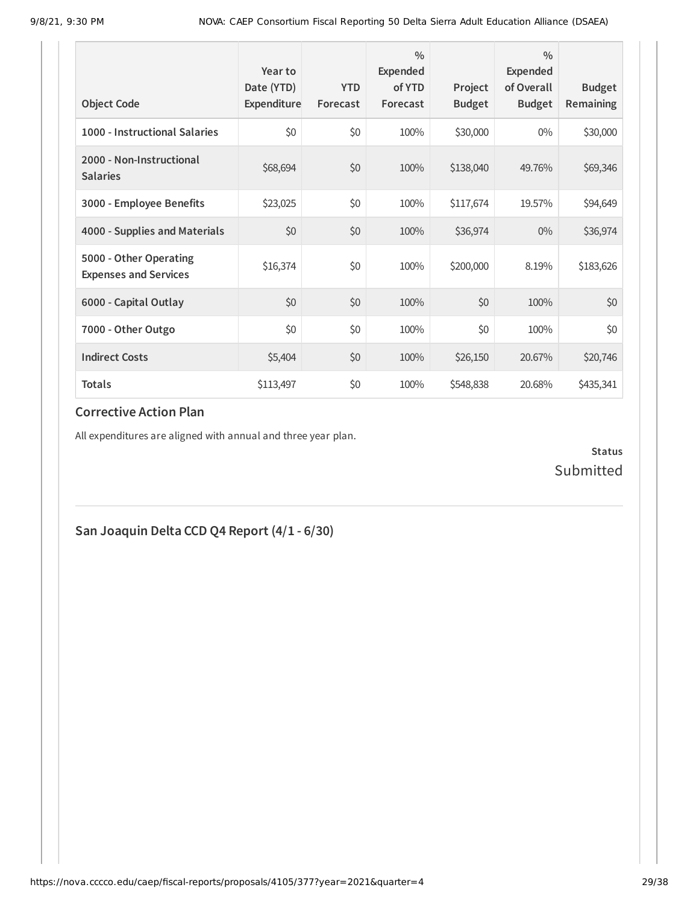| <b>Object Code</b>                                     | Year to<br>Date (YTD)<br>Expenditure | <b>YTD</b><br>Forecast | $\frac{0}{0}$<br>Expended<br>of YTD<br>Forecast | Project<br><b>Budget</b> | $\frac{0}{0}$<br><b>Expended</b><br>of Overall<br><b>Budget</b> | <b>Budget</b><br>Remaining |
|--------------------------------------------------------|--------------------------------------|------------------------|-------------------------------------------------|--------------------------|-----------------------------------------------------------------|----------------------------|
| 1000 - Instructional Salaries                          | \$0                                  | \$0                    | 100%                                            | \$30,000                 | $0\%$                                                           | \$30,000                   |
| 2000 - Non-Instructional<br><b>Salaries</b>            | \$68,694                             | \$0                    | 100%                                            | \$138,040                | 49.76%                                                          | \$69,346                   |
| 3000 - Employee Benefits                               | \$23,025                             | \$0                    | 100%                                            | \$117,674                | 19.57%                                                          | \$94,649                   |
| 4000 - Supplies and Materials                          | \$0                                  | \$0                    | 100%                                            | \$36,974                 | $0\%$                                                           | \$36,974                   |
| 5000 - Other Operating<br><b>Expenses and Services</b> | \$16,374                             | \$0                    | 100%                                            | \$200,000                | 8.19%                                                           | \$183,626                  |
| 6000 - Capital Outlay                                  | \$0                                  | \$0                    | 100%                                            | \$0                      | 100%                                                            | \$0                        |
| 7000 - Other Outgo                                     | \$0                                  | \$0                    | 100%                                            | \$0                      | 100%                                                            | \$0                        |
| <b>Indirect Costs</b>                                  | \$5,404                              | \$0                    | 100%                                            | \$26,150                 | 20.67%                                                          | \$20,746                   |
| <b>Totals</b>                                          | \$113,497                            | \$0                    | 100%                                            | \$548,838                | 20.68%                                                          | \$435,341                  |

All expenditures are aligned with annual and three year plan.

**Status** Submitted

## **San Joaquin Delta CCD Q4 Report (4/1 - 6/30)**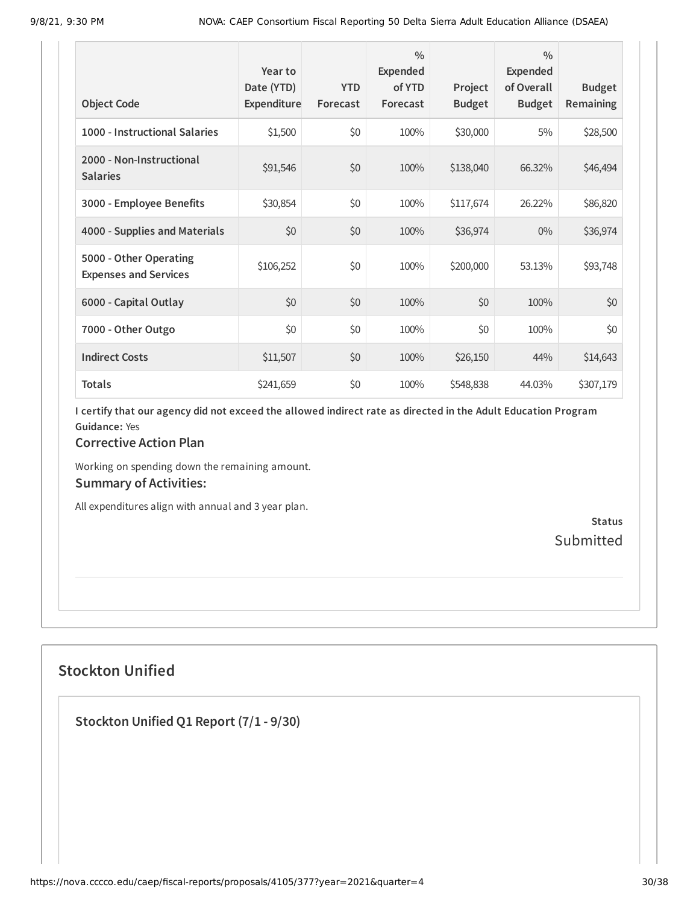| <b>Object Code</b>                                     | Year to<br>Date (YTD)<br>Expenditure | <b>YTD</b><br>Forecast | $\frac{0}{0}$<br><b>Expended</b><br>of YTD<br>Forecast | Project<br><b>Budget</b> | $\frac{0}{0}$<br>Expended<br>of Overall<br><b>Budget</b> | <b>Budget</b><br>Remaining |
|--------------------------------------------------------|--------------------------------------|------------------------|--------------------------------------------------------|--------------------------|----------------------------------------------------------|----------------------------|
| 1000 - Instructional Salaries                          | \$1,500                              | \$0                    | 100%                                                   | \$30,000                 | 5%                                                       | \$28,500                   |
| 2000 - Non-Instructional<br><b>Salaries</b>            | \$91,546                             | \$0                    | 100%                                                   | \$138,040                | 66.32%                                                   | \$46,494                   |
| 3000 - Employee Benefits                               | \$30,854                             | \$0                    | 100%                                                   | \$117,674                | 26.22%                                                   | \$86,820                   |
| 4000 - Supplies and Materials                          | \$0                                  | \$0                    | 100%                                                   | \$36,974                 | $0\%$                                                    | \$36,974                   |
| 5000 - Other Operating<br><b>Expenses and Services</b> | \$106,252                            | \$0                    | 100%                                                   | \$200,000                | 53.13%                                                   | \$93,748                   |
| 6000 - Capital Outlay                                  | \$0                                  | \$0                    | 100%                                                   | \$0                      | 100%                                                     | \$0                        |
| 7000 - Other Outgo                                     | \$0                                  | \$0                    | 100%                                                   | \$0                      | 100%                                                     | \$0                        |
| <b>Indirect Costs</b>                                  | \$11,507                             | \$0                    | 100%                                                   | \$26,150                 | 44%                                                      | \$14,643                   |
| <b>Totals</b>                                          | \$241,659                            | \$0                    | 100%                                                   | \$548,838                | 44.03%                                                   | \$307,179                  |

#### **Corrective Action Plan**

Working on spending down the remaining amount. **Summary of Activities:**

All expenditures align with annual and 3 year plan.

**Status** Submitted

## **Stockton Unified**

**Stockton Unified Q1 Report (7/1 - 9/30)**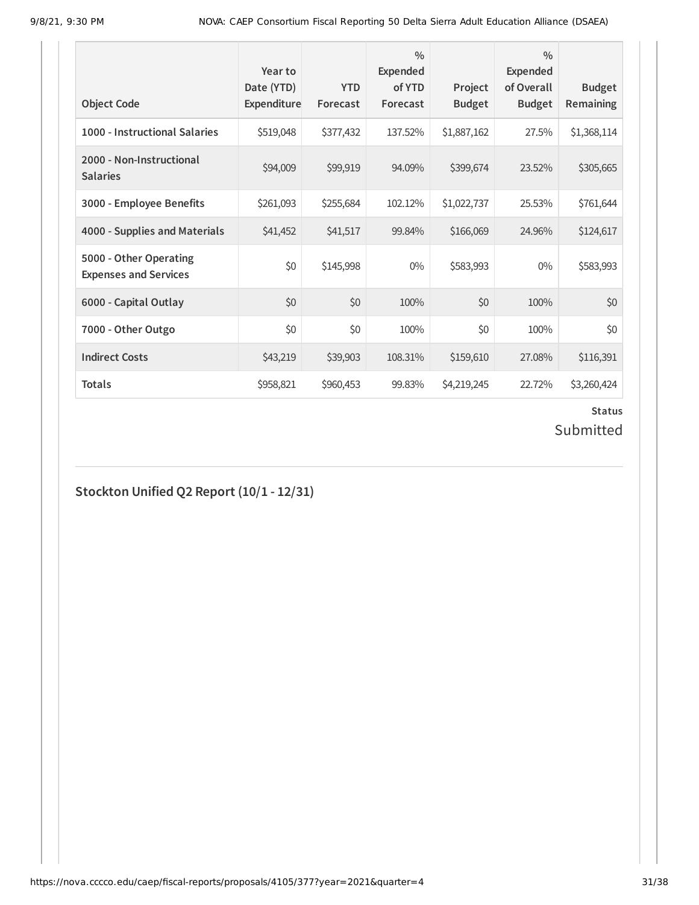| <b>Object Code</b>                                     | Year to<br>Date (YTD)<br>Expenditure | <b>YTD</b><br>Forecast | $\frac{0}{0}$<br><b>Expended</b><br>of YTD<br>Forecast | Project<br><b>Budget</b> | $\frac{0}{0}$<br>Expended<br>of Overall<br><b>Budget</b> | <b>Budget</b><br><b>Remaining</b> |
|--------------------------------------------------------|--------------------------------------|------------------------|--------------------------------------------------------|--------------------------|----------------------------------------------------------|-----------------------------------|
| 1000 - Instructional Salaries                          | \$519,048                            | \$377,432              | 137.52%                                                | \$1,887,162              | 27.5%                                                    | \$1,368,114                       |
| 2000 - Non-Instructional<br><b>Salaries</b>            | \$94,009                             | \$99,919               | 94.09%                                                 | \$399,674                | 23.52%                                                   | \$305,665                         |
| 3000 - Employee Benefits                               | \$261,093                            | \$255,684              | 102.12%                                                | \$1,022,737              | 25.53%                                                   | \$761,644                         |
| 4000 - Supplies and Materials                          | \$41,452                             | \$41,517               | 99.84%                                                 | \$166,069                | 24.96%                                                   | \$124,617                         |
| 5000 - Other Operating<br><b>Expenses and Services</b> | \$0                                  | \$145,998              | $0\%$                                                  | \$583,993                | $0\%$                                                    | \$583,993                         |
| 6000 - Capital Outlay                                  | \$0                                  | \$0                    | 100%                                                   | \$0                      | 100%                                                     | \$0                               |
| 7000 - Other Outgo                                     | \$0                                  | \$0                    | 100%                                                   | \$0                      | 100%                                                     | \$0                               |
| <b>Indirect Costs</b>                                  | \$43,219                             | \$39,903               | 108.31%                                                | \$159,610                | 27.08%                                                   | \$116,391                         |
| <b>Totals</b>                                          | \$958,821                            | \$960,453              | 99.83%                                                 | \$4,219,245              | 22.72%                                                   | \$3,260,424                       |

## **Status**

## Submitted

**Stockton Unified Q2 Report (10/1 - 12/31)**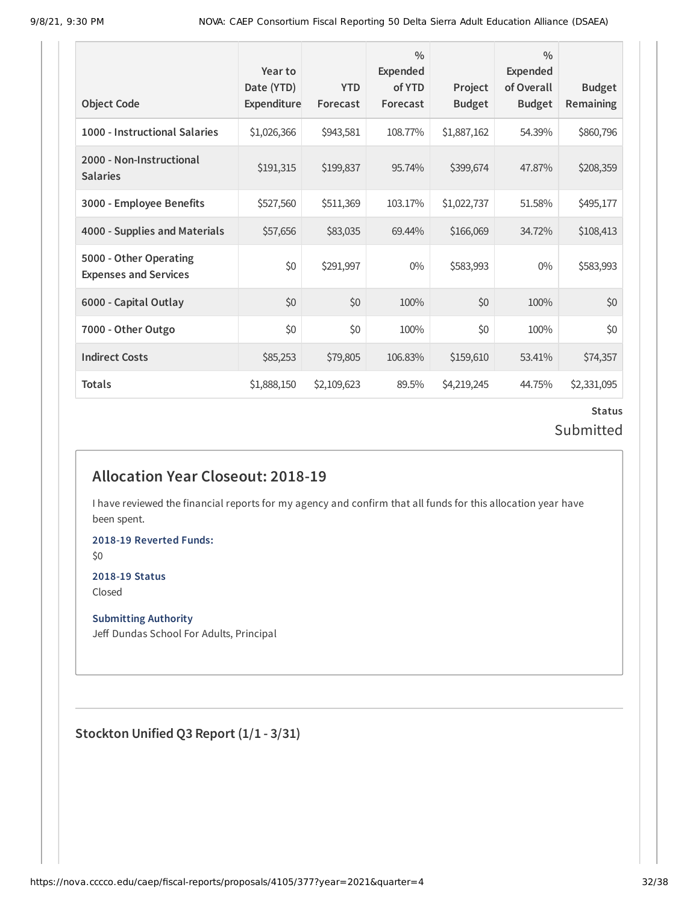| <b>Object Code</b>                                     | Year to<br>Date (YTD)<br>Expenditure | <b>YTD</b><br>Forecast | $\frac{0}{0}$<br>Expended<br>of YTD<br>Forecast | Project<br><b>Budget</b> | $\frac{0}{0}$<br>Expended<br>of Overall<br><b>Budget</b> | <b>Budget</b><br>Remaining |
|--------------------------------------------------------|--------------------------------------|------------------------|-------------------------------------------------|--------------------------|----------------------------------------------------------|----------------------------|
| 1000 - Instructional Salaries                          | \$1,026,366                          | \$943,581              | 108.77%                                         | \$1,887,162              | 54.39%                                                   | \$860,796                  |
| 2000 - Non-Instructional<br><b>Salaries</b>            | \$191,315                            | \$199,837              | 95.74%                                          | \$399,674                | 47.87%                                                   | \$208,359                  |
| 3000 - Employee Benefits                               | \$527,560                            | \$511,369              | 103.17%                                         | \$1,022,737              | 51.58%                                                   | \$495,177                  |
| 4000 - Supplies and Materials                          | \$57,656                             | \$83,035               | 69.44%                                          | \$166,069                | 34.72%                                                   | \$108,413                  |
| 5000 - Other Operating<br><b>Expenses and Services</b> | \$0                                  | \$291,997              | $0\%$                                           | \$583,993                | $0\%$                                                    | \$583,993                  |
| 6000 - Capital Outlay                                  | \$0                                  | \$0                    | 100%                                            | \$0                      | 100%                                                     | \$0                        |
| 7000 - Other Outgo                                     | \$0                                  | \$0                    | 100%                                            | \$0                      | 100%                                                     | \$0                        |
| <b>Indirect Costs</b>                                  | \$85,253                             | \$79,805               | 106.83%                                         | \$159,610                | 53.41%                                                   | \$74,357                   |
| <b>Totals</b>                                          | \$1,888,150                          | \$2,109,623            | 89.5%                                           | \$4,219,245              | 44.75%                                                   | \$2,331,095                |

## **Status** Submitted

## **Allocation Year Closeout: 2018-19**

I have reviewed the financial reports for my agency and confirm that all funds for this allocation year have been spent.

**2018-19 Reverted Funds:**

\$0

## **2018-19 Status**

Closed

#### **Submitting Authority**

Jeff Dundas School For Adults, Principal

**Stockton Unified Q3 Report (1/1 - 3/31)**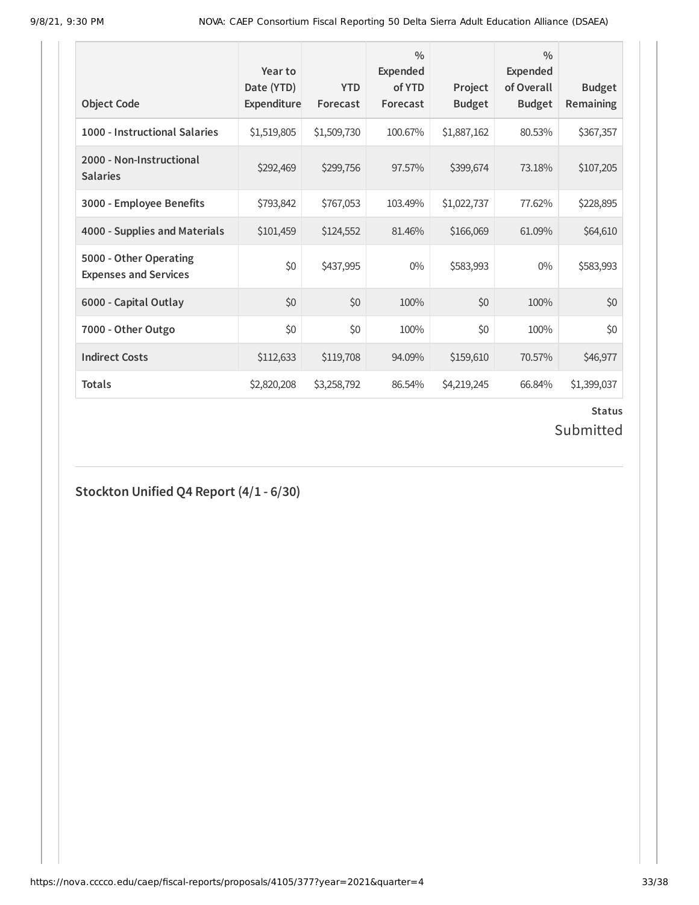| <b>Object Code</b>                                     | Year to<br>Date (YTD)<br>Expenditure | <b>YTD</b><br>Forecast | $\frac{0}{0}$<br><b>Expended</b><br>of YTD<br>Forecast | Project<br><b>Budget</b> | $\frac{0}{0}$<br>Expended<br>of Overall<br><b>Budget</b> | <b>Budget</b><br><b>Remaining</b> |
|--------------------------------------------------------|--------------------------------------|------------------------|--------------------------------------------------------|--------------------------|----------------------------------------------------------|-----------------------------------|
| 1000 - Instructional Salaries                          | \$1,519,805                          | \$1,509,730            | 100.67%                                                | \$1,887,162              | 80.53%                                                   | \$367,357                         |
| 2000 - Non-Instructional<br><b>Salaries</b>            | \$292,469                            | \$299,756              | 97.57%                                                 | \$399,674                | 73.18%                                                   | \$107,205                         |
| 3000 - Employee Benefits                               | \$793,842                            | \$767,053              | 103.49%                                                | \$1,022,737              | 77.62%                                                   | \$228,895                         |
| 4000 - Supplies and Materials                          | \$101,459                            | \$124,552              | 81.46%                                                 | \$166,069                | 61.09%                                                   | \$64,610                          |
| 5000 - Other Operating<br><b>Expenses and Services</b> | \$0                                  | \$437,995              | $0\%$                                                  | \$583,993                | $0\%$                                                    | \$583,993                         |
| 6000 - Capital Outlay                                  | \$0                                  | \$0                    | 100%                                                   | \$0                      | 100%                                                     | \$0                               |
| 7000 - Other Outgo                                     | \$0                                  | \$0                    | 100%                                                   | \$0                      | 100%                                                     | \$0                               |
| <b>Indirect Costs</b>                                  | \$112,633                            | \$119,708              | 94.09%                                                 | \$159,610                | 70.57%                                                   | \$46,977                          |
| <b>Totals</b>                                          | \$2,820,208                          | \$3,258,792            | 86.54%                                                 | \$4,219,245              | 66.84%                                                   | \$1,399,037                       |

## **Status**

## Submitted

## **Stockton Unified Q4 Report (4/1 - 6/30)**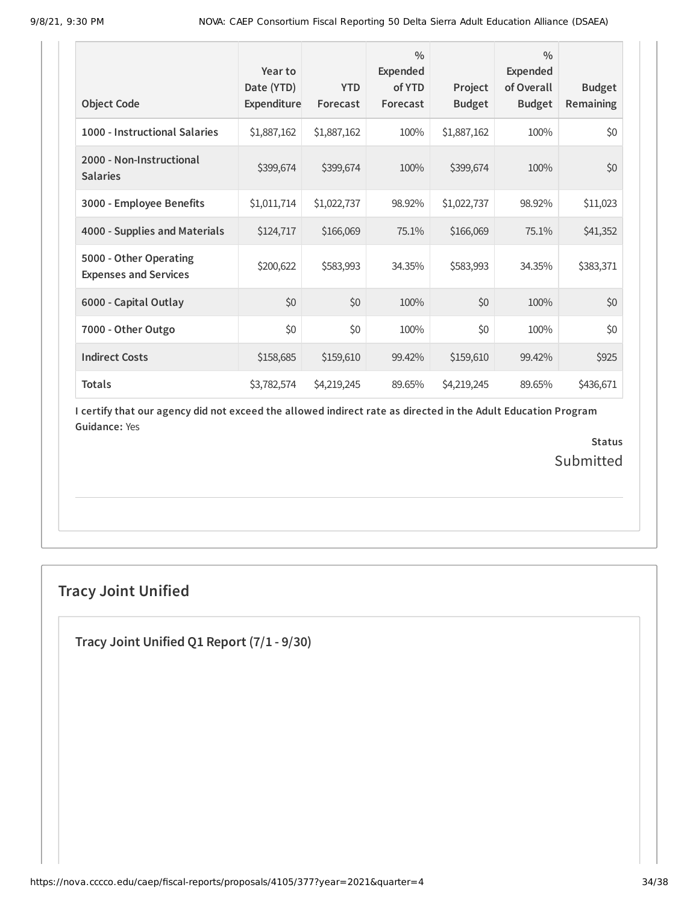| <b>Object Code</b>                                     | Year to<br>Date (YTD)<br>Expenditure | <b>YTD</b><br>Forecast | $\frac{0}{0}$<br>Expended<br>of YTD<br>Forecast | Project<br><b>Budget</b> | $\frac{0}{0}$<br>Expended<br>of Overall<br><b>Budget</b> | <b>Budget</b><br><b>Remaining</b> |
|--------------------------------------------------------|--------------------------------------|------------------------|-------------------------------------------------|--------------------------|----------------------------------------------------------|-----------------------------------|
| 1000 - Instructional Salaries                          | \$1,887,162                          | \$1,887,162            | 100%                                            | \$1,887,162              | 100%                                                     | \$0                               |
| 2000 - Non-Instructional<br><b>Salaries</b>            | \$399,674                            | \$399,674              | 100%                                            | \$399,674                | 100%                                                     | \$0                               |
| 3000 - Employee Benefits                               | \$1,011,714                          | \$1,022,737            | 98.92%                                          | \$1,022,737              | 98.92%                                                   | \$11,023                          |
| 4000 - Supplies and Materials                          | \$124,717                            | \$166,069              | 75.1%                                           | \$166,069                | 75.1%                                                    | \$41,352                          |
| 5000 - Other Operating<br><b>Expenses and Services</b> | \$200,622                            | \$583,993              | 34.35%                                          | \$583,993                | 34.35%                                                   | \$383,371                         |
| 6000 - Capital Outlay                                  | \$0                                  | \$0                    | 100%                                            | \$0                      | 100%                                                     | \$0                               |
| 7000 - Other Outgo                                     | \$0                                  | \$0                    | 100%                                            | \$0                      | 100%                                                     | \$0                               |
| <b>Indirect Costs</b>                                  | \$158,685                            | \$159,610              | 99.42%                                          | \$159,610                | 99.42%                                                   | \$925                             |
| <b>Totals</b>                                          | \$3,782,574                          | \$4,219,245            | 89.65%                                          | \$4,219,245              | 89.65%                                                   | \$436,671                         |

> **Status** Submitted

## **Tracy Joint Unified**

**Tracy Joint Unified Q1 Report (7/1 - 9/30)**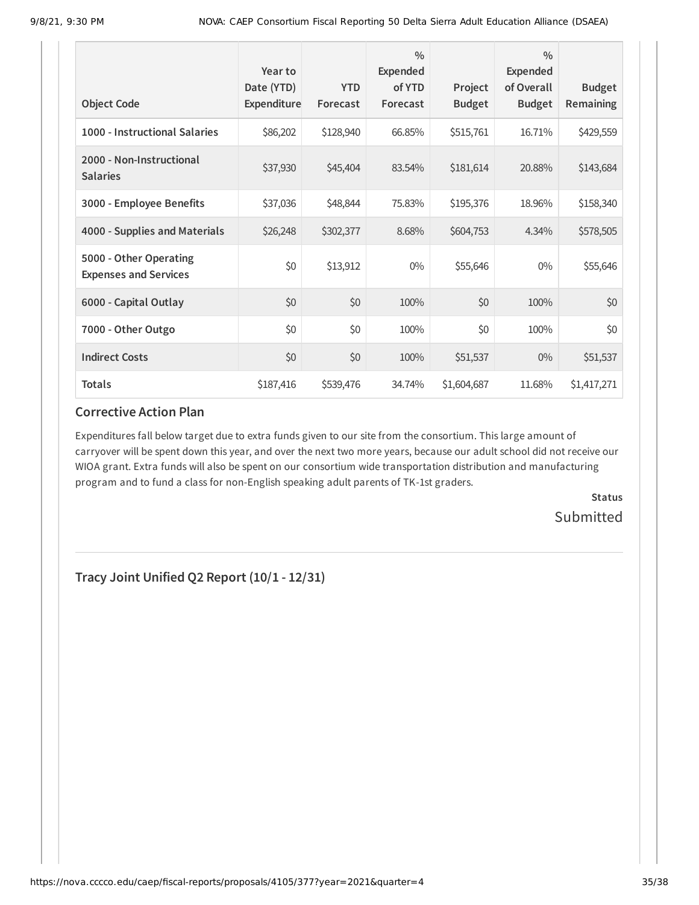|                                                        | Year to<br>Date (YTD) | <b>YTD</b> | $\frac{0}{0}$<br>Expended<br>of YTD | Project       | $\frac{0}{0}$<br><b>Expended</b><br>of Overall | <b>Budget</b> |
|--------------------------------------------------------|-----------------------|------------|-------------------------------------|---------------|------------------------------------------------|---------------|
| <b>Object Code</b>                                     | Expenditure           | Forecast   | Forecast                            | <b>Budget</b> | <b>Budget</b>                                  | Remaining     |
| 1000 - Instructional Salaries                          | \$86,202              | \$128,940  | 66.85%                              | \$515,761     | 16.71%                                         | \$429,559     |
| 2000 - Non-Instructional<br><b>Salaries</b>            | \$37,930              | \$45,404   | 83.54%                              | \$181,614     | 20.88%                                         | \$143,684     |
| 3000 - Employee Benefits                               | \$37,036              | \$48,844   | 75.83%                              | \$195,376     | 18.96%                                         | \$158,340     |
| 4000 - Supplies and Materials                          | \$26,248              | \$302,377  | 8.68%                               | \$604,753     | 4.34%                                          | \$578,505     |
| 5000 - Other Operating<br><b>Expenses and Services</b> | \$0                   | \$13,912   | $0\%$                               | \$55,646      | $0\%$                                          | \$55,646      |
| 6000 - Capital Outlay                                  | \$0                   | \$0        | 100%                                | \$0           | 100%                                           | \$0           |
| 7000 - Other Outgo                                     | \$0                   | \$0        | 100%                                | \$0           | 100%                                           | \$0           |
| <b>Indirect Costs</b>                                  | \$0                   | \$0        | 100%                                | \$51,537      | $0\%$                                          | \$51,537      |
| <b>Totals</b>                                          | \$187,416             | \$539,476  | 34.74%                              | \$1,604,687   | 11.68%                                         | \$1,417,271   |

Expenditures fall below target due to extra funds given to our site from the consortium. This large amount of carryover will be spent down this year, and over the next two more years, because our adult school did not receive our WIOA grant. Extra funds will also be spent on our consortium wide transportation distribution and manufacturing program and to fund a class for non-English speaking adult parents of TK-1st graders.

> **Status Submitted**

**Tracy Joint Unified Q2 Report (10/1 - 12/31)**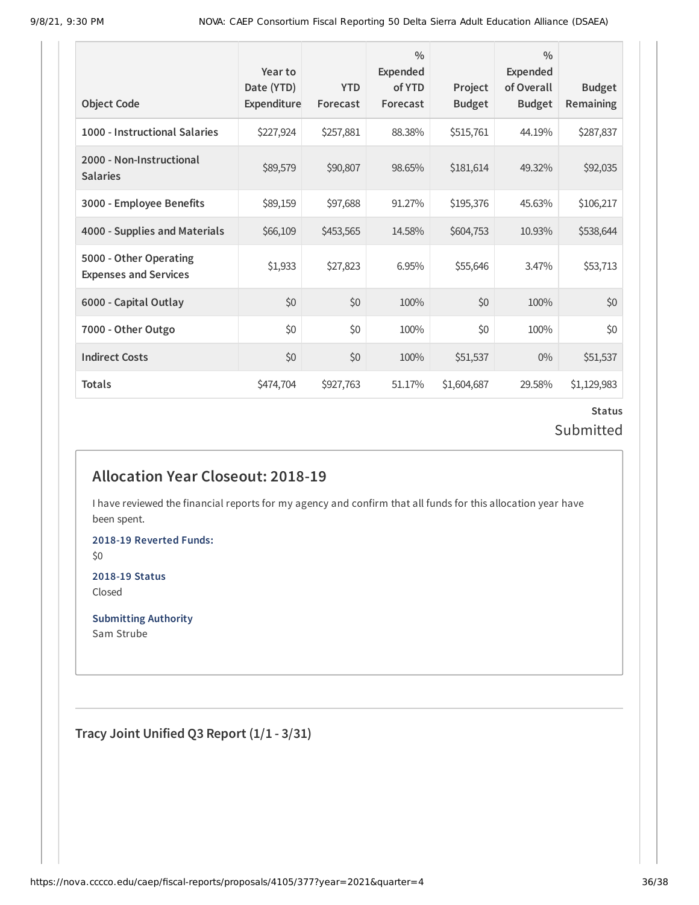| <b>Object Code</b>                                     | Year to<br>Date (YTD)<br>Expenditure | <b>YTD</b><br>Forecast | $\frac{0}{0}$<br>Expended<br>of YTD<br>Forecast | Project<br><b>Budget</b> | $\frac{0}{0}$<br><b>Expended</b><br>of Overall<br><b>Budget</b> | <b>Budget</b><br>Remaining |
|--------------------------------------------------------|--------------------------------------|------------------------|-------------------------------------------------|--------------------------|-----------------------------------------------------------------|----------------------------|
| 1000 - Instructional Salaries                          | \$227,924                            | \$257,881              | 88.38%                                          | \$515,761                | 44.19%                                                          | \$287,837                  |
| 2000 - Non-Instructional<br><b>Salaries</b>            | \$89,579                             | \$90,807               | 98.65%                                          | \$181,614                | 49.32%                                                          | \$92,035                   |
| 3000 - Employee Benefits                               | \$89,159                             | \$97,688               | 91.27%                                          | \$195,376                | 45.63%                                                          | \$106,217                  |
| 4000 - Supplies and Materials                          | \$66,109                             | \$453,565              | 14.58%                                          | \$604,753                | 10.93%                                                          | \$538,644                  |
| 5000 - Other Operating<br><b>Expenses and Services</b> | \$1,933                              | \$27,823               | 6.95%                                           | \$55,646                 | 3.47%                                                           | \$53,713                   |
| 6000 - Capital Outlay                                  | \$0                                  | \$0                    | 100%                                            | \$0                      | 100%                                                            | \$0                        |
| 7000 - Other Outgo                                     | \$0                                  | \$0                    | 100%                                            | \$0                      | 100%                                                            | \$0                        |
| <b>Indirect Costs</b>                                  | \$0                                  | \$0                    | 100%                                            | \$51,537                 | $0\%$                                                           | \$51,537                   |
| <b>Totals</b>                                          | \$474,704                            | \$927,763              | 51.17%                                          | \$1,604,687              | 29.58%                                                          | \$1,129,983                |

## **Status** Submitted

## **Allocation Year Closeout: 2018-19**

I have reviewed the financial reports for my agency and confirm that all funds for this allocation year have been spent.

**2018-19 Reverted Funds:** \$0

**2018-19 Status**

Closed

**Submitting Authority** Sam Strube

**Tracy Joint Unified Q3 Report (1/1 - 3/31)**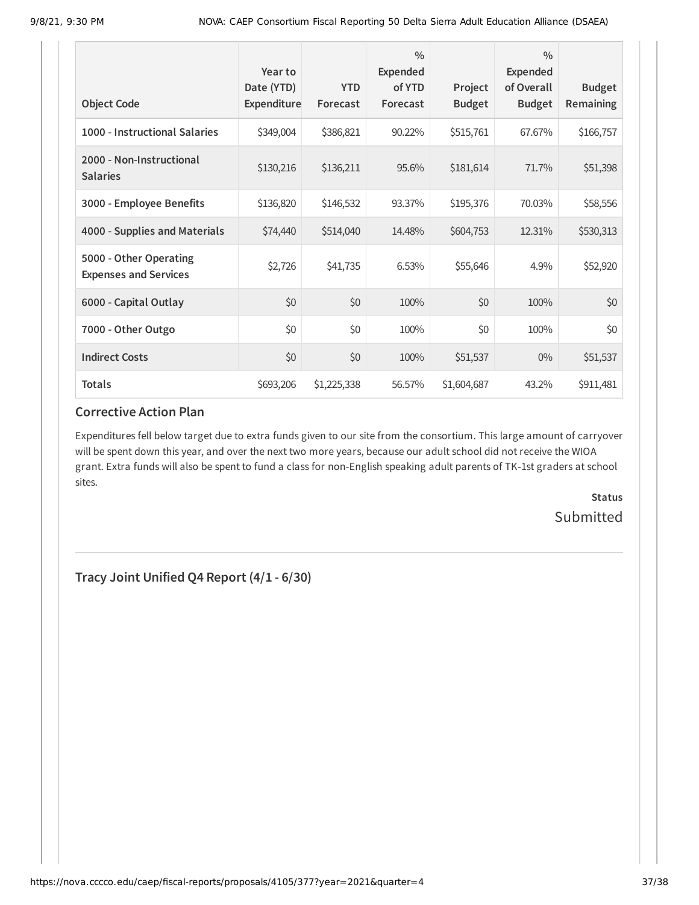| <b>Object Code</b>                                     | Year to<br>Date (YTD)<br><b>Expenditure</b> | <b>YTD</b><br>Forecast | $\frac{0}{0}$<br>Expended<br>of YTD<br>Forecast | Project<br><b>Budget</b> | $\frac{0}{0}$<br><b>Expended</b><br>of Overall<br><b>Budget</b> | <b>Budget</b><br>Remaining |
|--------------------------------------------------------|---------------------------------------------|------------------------|-------------------------------------------------|--------------------------|-----------------------------------------------------------------|----------------------------|
| 1000 - Instructional Salaries                          | \$349,004                                   | \$386,821              | 90.22%                                          | \$515,761                | 67.67%                                                          | \$166,757                  |
| 2000 - Non-Instructional<br><b>Salaries</b>            | \$130,216                                   | \$136,211              | 95.6%                                           | \$181,614                | 71.7%                                                           | \$51,398                   |
| 3000 - Employee Benefits                               | \$136,820                                   | \$146,532              | 93.37%                                          | \$195,376                | 70.03%                                                          | \$58,556                   |
| 4000 - Supplies and Materials                          | \$74,440                                    | \$514,040              | 14.48%                                          | \$604,753                | 12.31%                                                          | \$530,313                  |
| 5000 - Other Operating<br><b>Expenses and Services</b> | \$2,726                                     | \$41,735               | 6.53%                                           | \$55,646                 | 4.9%                                                            | \$52,920                   |
| 6000 - Capital Outlay                                  | \$0                                         | \$0                    | 100%                                            | \$0                      | 100%                                                            | \$0                        |
| 7000 - Other Outgo                                     | \$0                                         | \$0                    | 100%                                            | \$0                      | 100%                                                            | \$0                        |
| <b>Indirect Costs</b>                                  | \$0                                         | \$0                    | 100%                                            | \$51,537                 | $0\%$                                                           | \$51,537                   |
| <b>Totals</b>                                          | \$693,206                                   | \$1,225,338            | 56.57%                                          | \$1,604,687              | 43.2%                                                           | \$911,481                  |

Expenditures fell below target due to extra funds given to our site from the consortium. This large amount of carryover will be spent down this year, and over the next two more years, because our adult school did not receive the WIOA grant. Extra funds will also be spent to fund a class for non-English speaking adult parents of TK-1st graders at school sites.

> **Status** Submitted

**Tracy Joint Unified Q4 Report (4/1 - 6/30)**